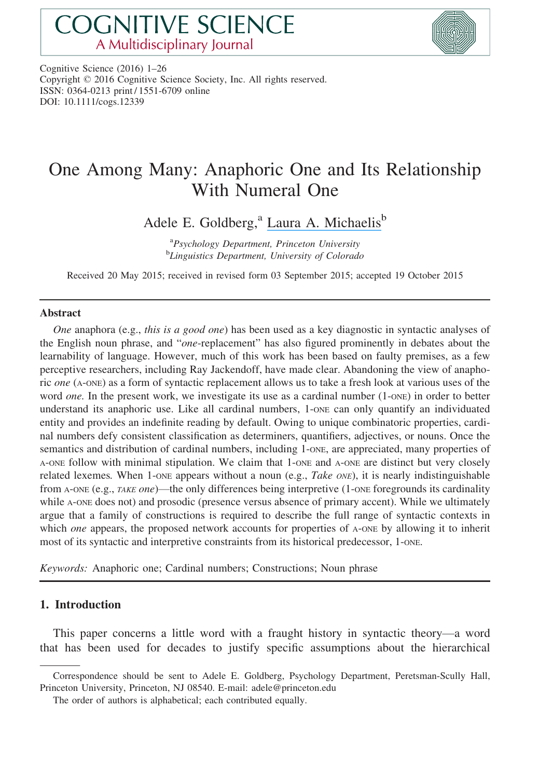# **COGNITIVE SCIENCE** A Multidisciplinary Journal



Cognitive Science (2016) 1–26 Copyright © 2016 Cognitive Science Society, Inc. All rights reserved. ISSN: 0364-0213 print / 1551-6709 online DOI: 10.1111/cogs.12339

# One Among Many: Anaphoric One and Its Relationship With Numeral One

Adele E. Goldberg,<sup>a</sup> [Laura A. Michaelis](https://www.researchgate.net/profile/Laura_Michaelis?el=1_x_100&enrichId=rgreq-6e07dde136e9c9ee84cd57dfdaebe836-XXX&enrichSource=Y292ZXJQYWdlOzMwNzg0MTMyNTtBUzo0MDg0NjE2NjY5OTYyMjRAMTQ3NDM5NjI1ODc3Ng==)<sup>b</sup>

<sup>a</sup> Psychology Department, Princeton University <sup>b</sup>Linguistics Department, University of Colorado

Received 20 May 2015; received in revised form 03 September 2015; accepted 19 October 2015

## Abstract

One anaphora (e.g., this is a good one) has been used as a key diagnostic in syntactic analyses of the English noun phrase, and "one-replacement" has also figured prominently in debates about the learnability of language. However, much of this work has been based on faulty premises, as a few perceptive researchers, including Ray Jackendoff, have made clear. Abandoning the view of anaphoric one (A-ONE) as a form of syntactic replacement allows us to take a fresh look at various uses of the word *one*. In the present work, we investigate its use as a cardinal number (1-one) in order to better understand its anaphoric use. Like all cardinal numbers, 1-ONE can only quantify an individuated entity and provides an indefinite reading by default. Owing to unique combinatoric properties, cardinal numbers defy consistent classification as determiners, quantifiers, adjectives, or nouns. Once the semantics and distribution of cardinal numbers, including 1-ONE, are appreciated, many properties of A-ONE follow with minimal stipulation. We claim that 1-ONE and A-ONE are distinct but very closely related lexemes. When 1-ONE appears without a noun (e.g., Take ONE), it is nearly indistinguishable from A-ONE (e.g., TAKE one)—the only differences being interpretive (1-ONE foregrounds its cardinality while A-ONE does not) and prosodic (presence versus absence of primary accent). While we ultimately argue that a family of constructions is required to describe the full range of syntactic contexts in which *one* appears, the proposed network accounts for properties of A-ONE by allowing it to inherit most of its syntactic and interpretive constraints from its historical predecessor, 1-one.

Keywords: Anaphoric one; Cardinal numbers; Constructions; Noun phrase

# 1. Introduction

This paper concerns a little word with a fraught history in syntactic theory—a word that has been used for decades to justify specific assumptions about the hierarchical

Correspondence should be sent to Adele E. Goldberg, Psychology Department, Peretsman-Scully Hall, Princeton University, Princeton, NJ 08540. E-mail: adele@princeton.edu

The order of authors is alphabetical; each contributed equally.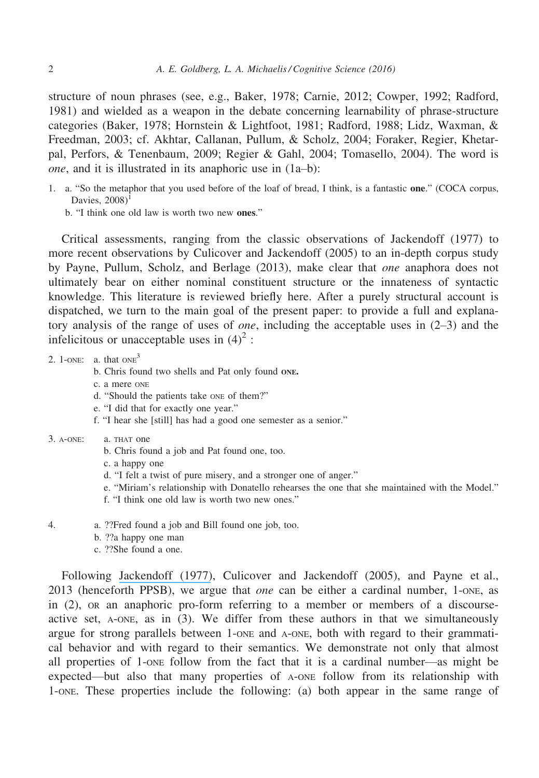structure of noun phrases (see, e.g., Baker, 1978; Carnie, 2012; Cowper, 1992; Radford, 1981) and wielded as a weapon in the debate concerning learnability of phrase-structure categories (Baker, 1978; Hornstein & Lightfoot, 1981; Radford, 1988; Lidz, Waxman, & Freedman, 2003; cf. Akhtar, Callanan, Pullum, & Scholz, 2004; Foraker, Regier, Khetarpal, Perfors, & Tenenbaum, 2009; Regier & Gahl, 2004; Tomasello, 2004). The word is one, and it is illustrated in its anaphoric use in (1a–b):

- 1. a. "So the metaphor that you used before of the loaf of bread, I think, is a fantastic one." (COCA corpus, Davies,  $2008$ <sup>1</sup>
	- b. "I think one old law is worth two new ones."

Critical assessments, ranging from the classic observations of Jackendoff (1977) to more recent observations by Culicover and Jackendoff (2005) to an in-depth corpus study by Payne, Pullum, Scholz, and Berlage (2013), make clear that one anaphora does not ultimately bear on either nominal constituent structure or the innateness of syntactic knowledge. This literature is reviewed briefly here. After a purely structural account is dispatched, we turn to the main goal of the present paper: to provide a full and explanatory analysis of the range of uses of *one*, including the acceptable uses in  $(2-3)$  and the infelicitous or unacceptable uses in  $(4)^2$ :

- 2. 1-ONE: a. that  $ONE<sup>3</sup>$ 
	- b. Chris found two shells and Pat only found ONE.
	- c. a mere ONE
	- d. "Should the patients take ONE of them?"
	- e. "I did that for exactly one year."
	- f. "I hear she [still] has had a good one semester as a senior."
- 3. A-ONE: a. THAT one
	- b. Chris found a job and Pat found one, too.
	- c. a happy one
	- d. "I felt a twist of pure misery, and a stronger one of anger."
	- e. "Miriam's relationship with Donatello rehearses the one that she maintained with the Model."
	- f. "I think one old law is worth two new ones."
- 4. a. ??Fred found a job and Bill found one job, too.
	- b. ??a happy one man
	- c. ??She found a one.

Following [Jackendoff \(1977\)](https://www.researchgate.net/publication/230876137_X-bar_Syntax_A_Study_of_Phrase_Structure?el=1_x_8&enrichId=rgreq-6e07dde136e9c9ee84cd57dfdaebe836-XXX&enrichSource=Y292ZXJQYWdlOzMwNzg0MTMyNTtBUzo0MDg0NjE2NjY5OTYyMjRAMTQ3NDM5NjI1ODc3Ng==), Culicover and Jackendoff (2005), and Payne et al., 2013 (henceforth PPSB), we argue that *one* can be either a cardinal number, 1-one, as in (2), OR an anaphoric pro-form referring to a member or members of a discourseactive set, A-ONE, as in (3). We differ from these authors in that we simultaneously argue for strong parallels between 1-ONE and A-ONE, both with regard to their grammatical behavior and with regard to their semantics. We demonstrate not only that almost all properties of 1-ONE follow from the fact that it is a cardinal number—as might be expected—but also that many properties of A-ONE follow from its relationship with 1-ONE. These properties include the following: (a) both appear in the same range of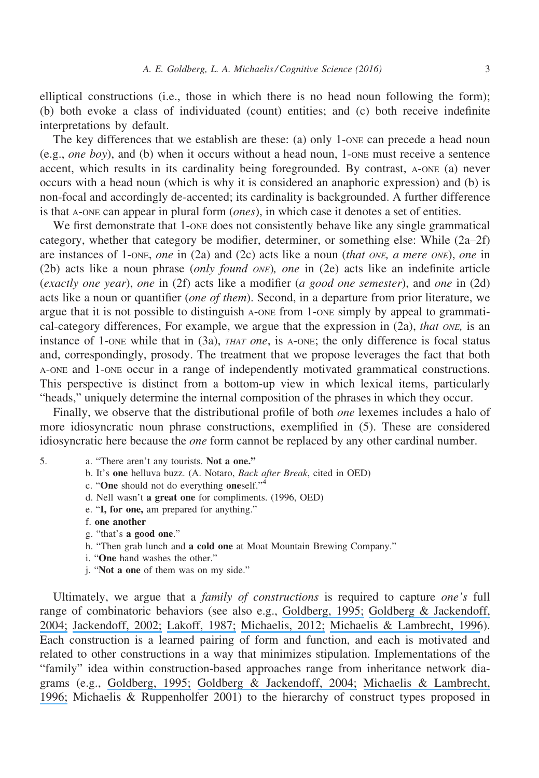elliptical constructions (i.e., those in which there is no head noun following the form); (b) both evoke a class of individuated (count) entities; and (c) both receive indefinite interpretations by default.

The key differences that we establish are these: (a) only 1-one can precede a head noun (e.g., *one boy*), and (b) when it occurs without a head noun, 1-one must receive a sentence accent, which results in its cardinality being foregrounded. By contrast, A-ONE (a) never occurs with a head noun (which is why it is considered an anaphoric expression) and (b) is non-focal and accordingly de-accented; its cardinality is backgrounded. A further difference is that A-ONE can appear in plural form (ones), in which case it denotes a set of entities.

We first demonstrate that 1-one does not consistently behave like any single grammatical category, whether that category be modifier, determiner, or something else: While (2a–2f) are instances of 1-one, one in (2a) and (2c) acts like a noun (that one, a mere one), one in (2b) acts like a noun phrase (only found ONE), one in (2e) acts like an indefinite article (exactly one year), one in (2f) acts like a modifier (a good one semester), and one in (2d) acts like a noun or quantifier *(one of them)*. Second, in a departure from prior literature, we argue that it is not possible to distinguish A-ONE from 1-ONE simply by appeal to grammatical-category differences, For example, we argue that the expression in  $(2a)$ , that ONE, is an instance of 1-one while that in  $(3a)$ , *THAT one*, is A-ONE; the only difference is focal status and, correspondingly, prosody. The treatment that we propose leverages the fact that both A-ONE and 1-ONE occur in a range of independently motivated grammatical constructions. This perspective is distinct from a bottom-up view in which lexical items, particularly "heads," uniquely determine the internal composition of the phrases in which they occur.

Finally, we observe that the distributional profile of both one lexemes includes a halo of more idiosyncratic noun phrase constructions, exemplified in (5). These are considered idiosyncratic here because the one form cannot be replaced by any other cardinal number.

- 5. a. "There aren't any tourists. Not a one."
	- b. It's one helluva buzz. (A. Notaro, Back after Break, cited in OED)
	- c. "One should not do everything oneself."<sup>4</sup>
	- d. Nell wasn't a great one for compliments. (1996, OED)
	- e. "I, for one, am prepared for anything."
	- f. one another
	- g. "that's a good one."
	- h. "Then grab lunch and a cold one at Moat Mountain Brewing Company."
	- i. "One hand washes the other."
	- j. "Not a one of them was on my side."

Ultimately, we argue that a family of constructions is required to capture one's full range of combinatoric behaviors (see also e.g., [Goldberg, 1995;](https://www.researchgate.net/publication/263191316_Constructions_A_Construction_Grammar_Approach_to_Argument_Structure?el=1_x_8&enrichId=rgreq-6e07dde136e9c9ee84cd57dfdaebe836-XXX&enrichSource=Y292ZXJQYWdlOzMwNzg0MTMyNTtBUzo0MDg0NjE2NjY5OTYyMjRAMTQ3NDM5NjI1ODc3Ng==) [Goldberg & Jackendoff,](https://www.researchgate.net/publication/2875857_The_English_Resultative_as_a_Family_of_Constructions?el=1_x_8&enrichId=rgreq-6e07dde136e9c9ee84cd57dfdaebe836-XXX&enrichSource=Y292ZXJQYWdlOzMwNzg0MTMyNTtBUzo0MDg0NjE2NjY5OTYyMjRAMTQ3NDM5NjI1ODc3Ng==) [2004;](https://www.researchgate.net/publication/2875857_The_English_Resultative_as_a_Family_of_Constructions?el=1_x_8&enrichId=rgreq-6e07dde136e9c9ee84cd57dfdaebe836-XXX&enrichSource=Y292ZXJQYWdlOzMwNzg0MTMyNTtBUzo0MDg0NjE2NjY5OTYyMjRAMTQ3NDM5NjI1ODc3Ng==) [Jackendoff, 2002;](https://www.researchgate.net/publication/8337998_Precis_of_Foundations_of_Language_Brain_Meaning_Grammar_Evolution?el=1_x_8&enrichId=rgreq-6e07dde136e9c9ee84cd57dfdaebe836-XXX&enrichSource=Y292ZXJQYWdlOzMwNzg0MTMyNTtBUzo0MDg0NjE2NjY5OTYyMjRAMTQ3NDM5NjI1ODc3Ng==) [Lakoff, 1987;](https://www.researchgate.net/publication/271017700_Women_Fire_and_Dangerous_Things?el=1_x_8&enrichId=rgreq-6e07dde136e9c9ee84cd57dfdaebe836-XXX&enrichSource=Y292ZXJQYWdlOzMwNzg0MTMyNTtBUzo0MDg0NjE2NjY5OTYyMjRAMTQ3NDM5NjI1ODc3Ng==) [Michaelis, 2012;](https://www.researchgate.net/publication/242200641_Making_the_Case_for_Construction_Grammar?el=1_x_8&enrichId=rgreq-6e07dde136e9c9ee84cd57dfdaebe836-XXX&enrichSource=Y292ZXJQYWdlOzMwNzg0MTMyNTtBUzo0MDg0NjE2NjY5OTYyMjRAMTQ3NDM5NjI1ODc3Ng==) [Michaelis & Lambrecht, 1996](https://www.researchgate.net/publication/240354290_Toward_a_construction-based_model_of_language_function_the_case_of_nominal_extraposition?el=1_x_8&enrichId=rgreq-6e07dde136e9c9ee84cd57dfdaebe836-XXX&enrichSource=Y292ZXJQYWdlOzMwNzg0MTMyNTtBUzo0MDg0NjE2NjY5OTYyMjRAMTQ3NDM5NjI1ODc3Ng==)). Each construction is a learned pairing of form and function, and each is motivated and related to other constructions in a way that minimizes stipulation. Implementations of the "family" idea within construction-based approaches range from inheritance network diagrams (e.g., [Goldberg, 1995;](https://www.researchgate.net/publication/263191316_Constructions_A_Construction_Grammar_Approach_to_Argument_Structure?el=1_x_8&enrichId=rgreq-6e07dde136e9c9ee84cd57dfdaebe836-XXX&enrichSource=Y292ZXJQYWdlOzMwNzg0MTMyNTtBUzo0MDg0NjE2NjY5OTYyMjRAMTQ3NDM5NjI1ODc3Ng==) [Goldberg & Jackendoff, 2004;](https://www.researchgate.net/publication/2875857_The_English_Resultative_as_a_Family_of_Constructions?el=1_x_8&enrichId=rgreq-6e07dde136e9c9ee84cd57dfdaebe836-XXX&enrichSource=Y292ZXJQYWdlOzMwNzg0MTMyNTtBUzo0MDg0NjE2NjY5OTYyMjRAMTQ3NDM5NjI1ODc3Ng==) [Michaelis & Lambrecht,](https://www.researchgate.net/publication/240354290_Toward_a_construction-based_model_of_language_function_the_case_of_nominal_extraposition?el=1_x_8&enrichId=rgreq-6e07dde136e9c9ee84cd57dfdaebe836-XXX&enrichSource=Y292ZXJQYWdlOzMwNzg0MTMyNTtBUzo0MDg0NjE2NjY5OTYyMjRAMTQ3NDM5NjI1ODc3Ng==) [1996;](https://www.researchgate.net/publication/240354290_Toward_a_construction-based_model_of_language_function_the_case_of_nominal_extraposition?el=1_x_8&enrichId=rgreq-6e07dde136e9c9ee84cd57dfdaebe836-XXX&enrichSource=Y292ZXJQYWdlOzMwNzg0MTMyNTtBUzo0MDg0NjE2NjY5OTYyMjRAMTQ3NDM5NjI1ODc3Ng==) Michaelis & Ruppenholfer 2001) to the hierarchy of construct types proposed in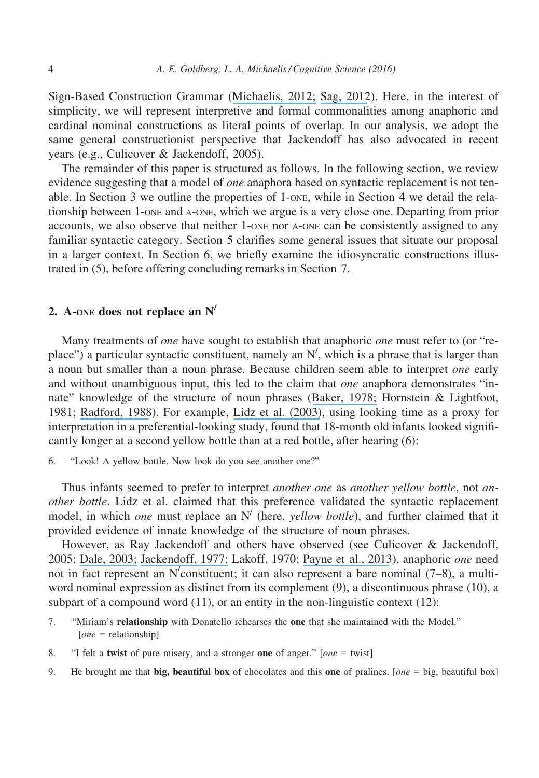Sign-Based Construction Grammar ([Michaelis, 2012;](https://www.researchgate.net/publication/242200641_Making_the_Case_for_Construction_Grammar?el=1_x_8&enrichId=rgreq-6e07dde136e9c9ee84cd57dfdaebe836-XXX&enrichSource=Y292ZXJQYWdlOzMwNzg0MTMyNTtBUzo0MDg0NjE2NjY5OTYyMjRAMTQ3NDM5NjI1ODc3Ng==) [Sag, 2012](https://www.researchgate.net/publication/242103219_Sign-Based_Construction_Grammar_An_Informal_Synopsis?el=1_x_8&enrichId=rgreq-6e07dde136e9c9ee84cd57dfdaebe836-XXX&enrichSource=Y292ZXJQYWdlOzMwNzg0MTMyNTtBUzo0MDg0NjE2NjY5OTYyMjRAMTQ3NDM5NjI1ODc3Ng==)). Here, in the interest of simplicity, we will represent interpretive and formal commonalities among anaphoric and cardinal nominal constructions as literal points of overlap. In our analysis, we adopt the same general constructionist perspective that Jackendoff has also advocated in recent years (e.g., Culicover & Jackendoff, 2005).

The remainder of this paper is structured as follows. In the following section, we review evidence suggesting that a model of *one* anaphora based on syntactic replacement is not tenable. In Section 3 we outline the properties of 1-ONE, while in Section 4 we detail the relationship between 1-ONE and A-ONE, which we argue is a very close one. Departing from prior accounts, we also observe that neither 1-ONE nor A-ONE can be consistently assigned to any familiar syntactic category. Section 5 clarifies some general issues that situate our proposal in a larger context. In Section 6, we briefly examine the idiosyncratic constructions illustrated in (5), before offering concluding remarks in Section 7.

# 2. A-ONE does not replace an  $N'$

Many treatments of *one* have sought to establish that anaphoric *one* must refer to (or "replace") a particular syntactic constituent, namely an  $N'$ , which is a phrase that is larger than a noun but smaller than a noun phrase. Because children seem able to interpret one early and without unambiguous input, this led to the claim that *one* anaphora demonstrates "innate" knowledge of the structure of noun phrases ([Baker, 1978;](https://www.researchgate.net/publication/242482015_Introduction_to_Generative-Transformational_Syntax?el=1_x_8&enrichId=rgreq-6e07dde136e9c9ee84cd57dfdaebe836-XXX&enrichSource=Y292ZXJQYWdlOzMwNzg0MTMyNTtBUzo0MDg0NjE2NjY5OTYyMjRAMTQ3NDM5NjI1ODc3Ng==) Hornstein & Lightfoot, 1981; [Radford, 1988](https://www.researchgate.net/publication/230876409_Transformational_Grammar_A_First_Course?el=1_x_8&enrichId=rgreq-6e07dde136e9c9ee84cd57dfdaebe836-XXX&enrichSource=Y292ZXJQYWdlOzMwNzg0MTMyNTtBUzo0MDg0NjE2NjY5OTYyMjRAMTQ3NDM5NjI1ODc3Ng==)). For example, [Lidz et al. \(2003\)](https://www.researchgate.net/publication/10577073_What_infants_know_about_syntax_but_couldn), using looking time as a proxy for interpretation in a preferential-looking study, found that 18-month old infants looked significantly longer at a second yellow bottle than at a red bottle, after hearing (6):

6. "Look! A yellow bottle. Now look do you see another one?"

Thus infants seemed to prefer to interpret *another one* as *another yellow bottle*, not *an*other bottle. Lidz et al. claimed that this preference validated the syntactic replacement model, in which *one* must replace an  $N'$  (here, *yellow bottle*), and further claimed that it provided evidence of innate knowledge of the structure of noun phrases.

However, as Ray Jackendoff and others have observed (see Culicover & Jackendoff, 2005; [Dale, 2003;](https://www.researchgate.net/publication/228598290_One-anaphora_and_the_case_for_discourse-driven_referring_expression_generation?el=1_x_8&enrichId=rgreq-6e07dde136e9c9ee84cd57dfdaebe836-XXX&enrichSource=Y292ZXJQYWdlOzMwNzg0MTMyNTtBUzo0MDg0NjE2NjY5OTYyMjRAMTQ3NDM5NjI1ODc3Ng==) [Jackendoff, 1977;](https://www.researchgate.net/publication/230876137_X-bar_Syntax_A_Study_of_Phrase_Structure?el=1_x_8&enrichId=rgreq-6e07dde136e9c9ee84cd57dfdaebe836-XXX&enrichSource=Y292ZXJQYWdlOzMwNzg0MTMyNTtBUzo0MDg0NjE2NjY5OTYyMjRAMTQ3NDM5NjI1ODc3Ng==) Lakoff, 1970; [Payne et al., 2013](https://www.researchgate.net/publication/265765000_Anaphoric_one_and_its_implications?el=1_x_8&enrichId=rgreq-6e07dde136e9c9ee84cd57dfdaebe836-XXX&enrichSource=Y292ZXJQYWdlOzMwNzg0MTMyNTtBUzo0MDg0NjE2NjY5OTYyMjRAMTQ3NDM5NjI1ODc3Ng==)), anaphoric one need not in fact represent an N/ constituent; it can also represent a bare nominal (7–8), a multiword nominal expression as distinct from its complement (9), a discontinuous phrase (10), a subpart of a compound word  $(11)$ , or an entity in the non-linguistic context  $(12)$ :

- 7. "Miriam's relationship with Donatello rehearses the one that she maintained with the Model."  $[one = relationship]$
- 8. "I felt a **twist** of pure misery, and a stronger one of anger." [*one* = twist]
- 9. He brought me that **big, beautiful box** of chocolates and this **one** of pralines. [*one* = big, beautiful box]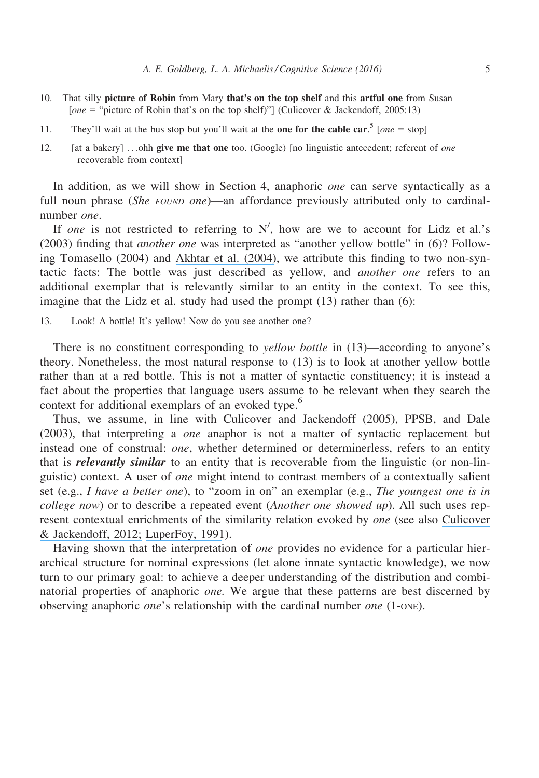- 10. That silly picture of Robin from Mary that's on the top shelf and this artful one from Susan [one = "picture of Robin that's on the top shelf)"] (Culicover & Jackendoff, 2005:13)
- 11. They'll wait at the bus stop but you'll wait at the **one for the cable car**.<sup>5</sup> [*one* = stop]
- 12. [at a bakery] ...ohh give me that one too. (Google) [no linguistic antecedent; referent of one recoverable from context]

In addition, as we will show in Section 4, anaphoric one can serve syntactically as a full noun phrase (She FOUND one)—an affordance previously attributed only to cardinalnumber one.

If one is not restricted to referring to  $N'$ , how are we to account for Lidz et al.'s (2003) finding that another one was interpreted as "another yellow bottle" in (6)? Following Tomasello (2004) and [Akhtar et al. \(2004\)](https://www.researchgate.net/publication/8558112_Learning_antecedents_for_anaphoric_one?el=1_x_8&enrichId=rgreq-6e07dde136e9c9ee84cd57dfdaebe836-XXX&enrichSource=Y292ZXJQYWdlOzMwNzg0MTMyNTtBUzo0MDg0NjE2NjY5OTYyMjRAMTQ3NDM5NjI1ODc3Ng==), we attribute this finding to two non-syntactic facts: The bottle was just described as yellow, and another one refers to an additional exemplar that is relevantly similar to an entity in the context. To see this, imagine that the Lidz et al. study had used the prompt (13) rather than (6):

13. Look! A bottle! It's yellow! Now do you see another one?

There is no constituent corresponding to *vellow bottle* in (13)—according to anyone's theory. Nonetheless, the most natural response to (13) is to look at another yellow bottle rather than at a red bottle. This is not a matter of syntactic constituency; it is instead a fact about the properties that language users assume to be relevant when they search the context for additional exemplars of an evoked type.<sup>6</sup>

Thus, we assume, in line with Culicover and Jackendoff (2005), PPSB, and Dale (2003), that interpreting a one anaphor is not a matter of syntactic replacement but instead one of construal: *one*, whether determined or determinerless, refers to an entity that is *relevantly similar* to an entity that is recoverable from the linguistic (or non-linguistic) context. A user of one might intend to contrast members of a contextually salient set (e.g., I have a better one), to "zoom in on" an exemplar (e.g., The youngest one is in *college now*) or to describe a repeated event (*Another one showed up*). All such uses represent contextual enrichments of the similarity relation evoked by one (see also [Culicover](https://www.researchgate.net/publication/236761063_Same-except_A_domain-general_cognitive_relation_and_how_language_expresses_it?el=1_x_8&enrichId=rgreq-6e07dde136e9c9ee84cd57dfdaebe836-XXX&enrichSource=Y292ZXJQYWdlOzMwNzg0MTMyNTtBUzo0MDg0NjE2NjY5OTYyMjRAMTQ3NDM5NjI1ODc3Ng==) [& Jackendoff, 2012;](https://www.researchgate.net/publication/236761063_Same-except_A_domain-general_cognitive_relation_and_how_language_expresses_it?el=1_x_8&enrichId=rgreq-6e07dde136e9c9ee84cd57dfdaebe836-XXX&enrichSource=Y292ZXJQYWdlOzMwNzg0MTMyNTtBUzo0MDg0NjE2NjY5OTYyMjRAMTQ3NDM5NjI1ODc3Ng==) [LuperFoy, 1991](https://www.researchgate.net/publication/234829788_Discourse_pegs_a_computational_analysis_of_context-dependent_referring_expressions?el=1_x_8&enrichId=rgreq-6e07dde136e9c9ee84cd57dfdaebe836-XXX&enrichSource=Y292ZXJQYWdlOzMwNzg0MTMyNTtBUzo0MDg0NjE2NjY5OTYyMjRAMTQ3NDM5NjI1ODc3Ng==)).

Having shown that the interpretation of *one* provides no evidence for a particular hierarchical structure for nominal expressions (let alone innate syntactic knowledge), we now turn to our primary goal: to achieve a deeper understanding of the distribution and combinatorial properties of anaphoric one. We argue that these patterns are best discerned by observing anaphoric *one*'s relationship with the cardinal number *one* (1-one).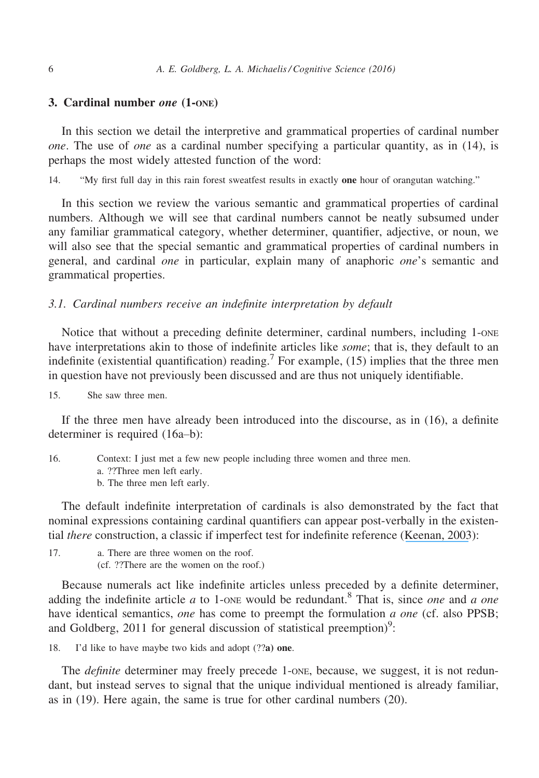# 3. Cardinal number one (1-ONE)

In this section we detail the interpretive and grammatical properties of cardinal number one. The use of one as a cardinal number specifying a particular quantity, as in (14), is perhaps the most widely attested function of the word:

14. "My first full day in this rain forest sweatfest results in exactly one hour of orangutan watching."

In this section we review the various semantic and grammatical properties of cardinal numbers. Although we will see that cardinal numbers cannot be neatly subsumed under any familiar grammatical category, whether determiner, quantifier, adjective, or noun, we will also see that the special semantic and grammatical properties of cardinal numbers in general, and cardinal one in particular, explain many of anaphoric one's semantic and grammatical properties.

## 3.1. Cardinal numbers receive an indefinite interpretation by default

Notice that without a preceding definite determiner, cardinal numbers, including 1-ONE have interpretations akin to those of indefinite articles like *some*; that is, they default to an indefinite (existential quantification) reading.<sup>7</sup> For example, (15) implies that the three men in question have not previously been discussed and are thus not uniquely identifiable.

15. She saw three men.

If the three men have already been introduced into the discourse, as in (16), a definite determiner is required (16a–b):

16. Context: I just met a few new people including three women and three men.

a. ??Three men left early.

b. The three men left early.

The default indefinite interpretation of cardinals is also demonstrated by the fact that nominal expressions containing cardinal quantifiers can appear post-verbally in the existential *there* construction, a classic if imperfect test for indefinite reference ([Keenan, 2003](https://www.researchgate.net/publication/263107341_The_Definiteness_Effect_Semantics_or_Pragmatics?el=1_x_8&enrichId=rgreq-6e07dde136e9c9ee84cd57dfdaebe836-XXX&enrichSource=Y292ZXJQYWdlOzMwNzg0MTMyNTtBUzo0MDg0NjE2NjY5OTYyMjRAMTQ3NDM5NjI1ODc3Ng==)):

17. a. There are three women on the roof. (cf. ??There are the women on the roof.)

Because numerals act like indefinite articles unless preceded by a definite determiner, adding the indefinite article  $a$  to 1-one would be redundant.<sup>8</sup> That is, since *one* and  $a$  *one* have identical semantics, one has come to preempt the formulation a one (cf. also PPSB; and Goldberg, 2011 for general discussion of statistical preemption)<sup>9</sup>:

18. I'd like to have maybe two kids and adopt (??a) one.

The *definite* determiner may freely precede 1-one, because, we suggest, it is not redundant, but instead serves to signal that the unique individual mentioned is already familiar, as in (19). Here again, the same is true for other cardinal numbers (20).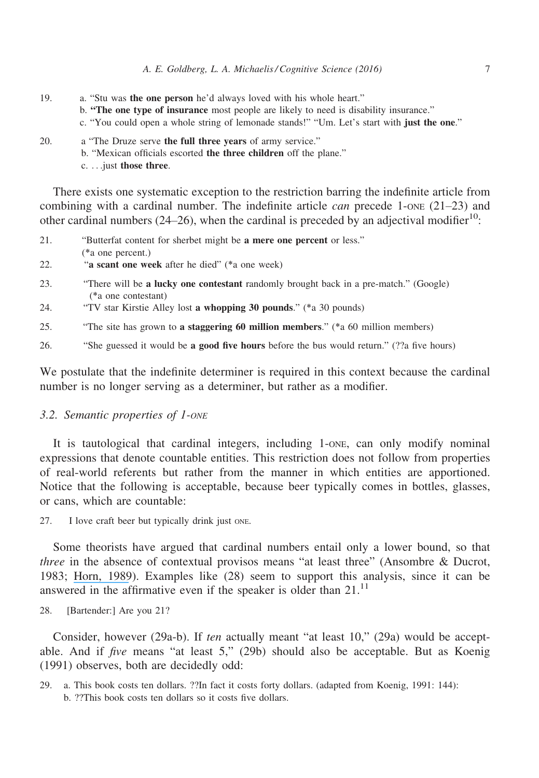- 19. a. "Stu was the one person he'd always loved with his whole heart."
	- b. "The one type of insurance most people are likely to need is disability insurance."
	- c. "You could open a whole string of lemonade stands!" "Um. Let's start with just the one."
- 20. a "The Druze serve the full three years of army service." b. "Mexican officials escorted the three children off the plane." c. ...just those three.

There exists one systematic exception to the restriction barring the indefinite article from combining with a cardinal number. The indefinite article *can* precede  $1$ -ONE ( $21-23$ ) and other cardinal numbers (24–26), when the cardinal is preceded by an adjectival modifier<sup>10</sup>:

- 21. "Butterfat content for sherbet might be a mere one percent or less." (\*a one percent.)
- 22. "a scant one week after he died" (\*a one week)
- 23. "There will be a lucky one contestant randomly brought back in a pre-match." (Google) (\*a one contestant)
- 24. "TV star Kirstie Alley lost a whopping 30 pounds." (\*a 30 pounds)
- 25. "The site has grown to a staggering 60 million members." (\*a 60 million members)
- 26. "She guessed it would be a good five hours before the bus would return." (??a five hours)

We postulate that the indefinite determiner is required in this context because the cardinal number is no longer serving as a determiner, but rather as a modifier.

# 3.2. Semantic properties of 1-ONE

It is tautological that cardinal integers, including 1-ONE, can only modify nominal expressions that denote countable entities. This restriction does not follow from properties of real-world referents but rather from the manner in which entities are apportioned. Notice that the following is acceptable, because beer typically comes in bottles, glasses, or cans, which are countable:

27. I love craft beer but typically drink just ONE.

Some theorists have argued that cardinal numbers entail only a lower bound, so that three in the absence of contextual provisos means "at least three" (Ansombre & Ducrot, 1983; [Horn, 1989](https://www.researchgate.net/publication/37705081_A_Natural_History_of_Negation?el=1_x_8&enrichId=rgreq-6e07dde136e9c9ee84cd57dfdaebe836-XXX&enrichSource=Y292ZXJQYWdlOzMwNzg0MTMyNTtBUzo0MDg0NjE2NjY5OTYyMjRAMTQ3NDM5NjI1ODc3Ng==)). Examples like (28) seem to support this analysis, since it can be answered in the affirmative even if the speaker is older than  $21$ .<sup>11</sup>

28. [Bartender:] Are you 21?

Consider, however (29a-b). If ten actually meant "at least 10," (29a) would be acceptable. And if five means "at least 5," (29b) should also be acceptable. But as Koenig (1991) observes, both are decidedly odd:

29. a. This book costs ten dollars. ??In fact it costs forty dollars. (adapted from Koenig, 1991: 144): b. ??This book costs ten dollars so it costs five dollars.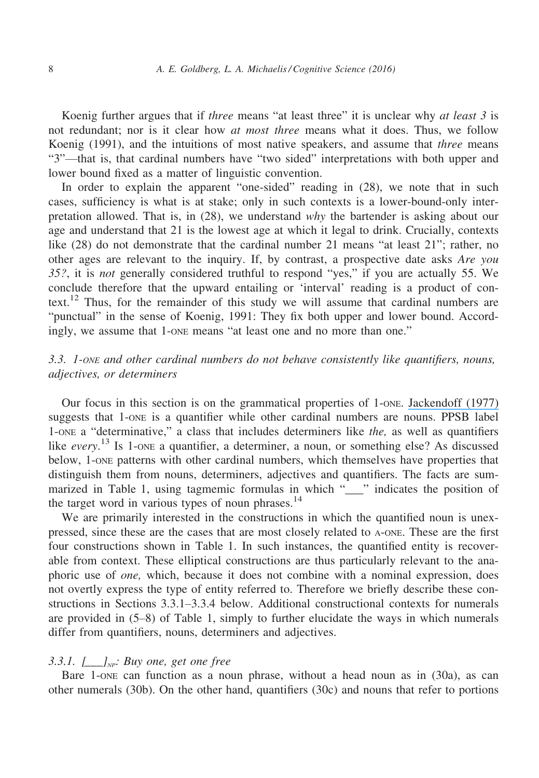Koenig further argues that if *three* means "at least three" it is unclear why *at least 3* is not redundant; nor is it clear how *at most three* means what it does. Thus, we follow Koenig (1991), and the intuitions of most native speakers, and assume that *three* means "3"—that is, that cardinal numbers have "two sided" interpretations with both upper and lower bound fixed as a matter of linguistic convention.

In order to explain the apparent "one-sided" reading in (28), we note that in such cases, sufficiency is what is at stake; only in such contexts is a lower-bound-only interpretation allowed. That is, in (28), we understand why the bartender is asking about our age and understand that 21 is the lowest age at which it legal to drink. Crucially, contexts like (28) do not demonstrate that the cardinal number 21 means "at least 21"; rather, no other ages are relevant to the inquiry. If, by contrast, a prospective date asks Are you 35?, it is not generally considered truthful to respond "yes," if you are actually 55. We conclude therefore that the upward entailing or 'interval' reading is a product of context.<sup>12</sup> Thus, for the remainder of this study we will assume that cardinal numbers are "punctual" in the sense of Koenig, 1991: They fix both upper and lower bound. Accordingly, we assume that 1-ONE means "at least one and no more than one."

# 3.3. 1-ONE and other cardinal numbers do not behave consistently like quantifiers, nouns, adjectives, or determiners

Our focus in this section is on the grammatical properties of 1-ONE. [Jackendoff \(1977\)](https://www.researchgate.net/publication/230876137_X-bar_Syntax_A_Study_of_Phrase_Structure?el=1_x_8&enrichId=rgreq-6e07dde136e9c9ee84cd57dfdaebe836-XXX&enrichSource=Y292ZXJQYWdlOzMwNzg0MTMyNTtBUzo0MDg0NjE2NjY5OTYyMjRAMTQ3NDM5NjI1ODc3Ng==) suggests that 1-ONE is a quantifier while other cardinal numbers are nouns. PPSB label 1-ONE a "determinative," a class that includes determiners like the, as well as quantifiers like every.<sup>13</sup> Is 1-one a quantifier, a determiner, a noun, or something else? As discussed below, 1-ONE patterns with other cardinal numbers, which themselves have properties that distinguish them from nouns, determiners, adjectives and quantifiers. The facts are summarized in Table 1, using tagmemic formulas in which " " indicates the position of the target word in various types of noun phrases. $14$ 

We are primarily interested in the constructions in which the quantified noun is unexpressed, since these are the cases that are most closely related to A-ONE. These are the first four constructions shown in Table 1. In such instances, the quantified entity is recoverable from context. These elliptical constructions are thus particularly relevant to the anaphoric use of one, which, because it does not combine with a nominal expression, does not overtly express the type of entity referred to. Therefore we briefly describe these constructions in Sections 3.3.1–3.3.4 below. Additional constructional contexts for numerals are provided in (5–8) of Table 1, simply to further elucidate the ways in which numerals differ from quantifiers, nouns, determiners and adjectives.

## 3.3.1.  $\Box$ <sub>NP</sub>: Buy one, get one free

Bare 1-ONE can function as a noun phrase, without a head noun as in (30a), as can other numerals (30b). On the other hand, quantifiers (30c) and nouns that refer to portions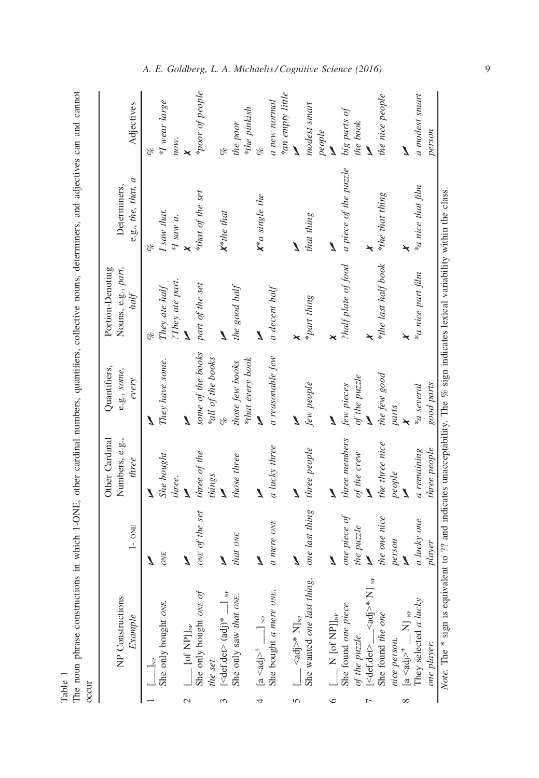|                                      | a 1-ONE other cardinal numbers quantifiers |
|--------------------------------------|--------------------------------------------|
|                                      |                                            |
|                                      |                                            |
|                                      |                                            |
|                                      |                                            |
|                                      |                                            |
|                                      |                                            |
|                                      | The noun phrase constructions in which     |
|                                      |                                            |
| $\frac{1}{4}$<br>T <sub>o</sub> lal. |                                            |
|                                      |                                            |

|   | Ï<br>֦֦֦֧֧֧֧֧֧֧֧֧֧֧֧֧֧֧֧֧ׅ֧֧֧֧֚֚֚֚֚֚֚֚֚֚֚֚֚֚֚֚֡֝֝֬֝֝֝֓֝֝֝֬֝֝֝֝֟֝֬֝֝֓֝֓֝֬֝֬֝֓֝֬֝֬֝֬֝֬֝֬֝֬֝֬֝֝֬֝֝֬֝֝֬ |   |
|---|-----------------------------------------------------------------------------------------------------|---|
|   | an and annum                                                                                        |   |
|   |                                                                                                     |   |
|   |                                                                                                     |   |
|   |                                                                                                     |   |
|   |                                                                                                     |   |
|   | ۱<br>آ<br>.<br>1                                                                                    |   |
|   |                                                                                                     |   |
|   | i                                                                                                   |   |
|   |                                                                                                     |   |
|   |                                                                                                     |   |
|   |                                                                                                     |   |
|   | 6. 1. 1. 1. 1. 1.                                                                                   |   |
|   | i<br>control                                                                                        |   |
|   |                                                                                                     |   |
|   | <b>The College Street College College Street</b>                                                    |   |
|   |                                                                                                     |   |
|   | $\sim$                                                                                              |   |
|   |                                                                                                     |   |
|   | <b>Contract</b>                                                                                     |   |
|   |                                                                                                     |   |
|   | $\sim$ $\sim$ $\sim$                                                                                |   |
|   |                                                                                                     |   |
|   | ī                                                                                                   |   |
|   | ١                                                                                                   |   |
|   | $\sim$                                                                                              |   |
|   | $1000 \text{ m}$                                                                                    |   |
|   |                                                                                                     |   |
|   |                                                                                                     |   |
|   |                                                                                                     |   |
|   | The noun phrase construct                                                                           |   |
|   |                                                                                                     |   |
| į |                                                                                                     | č |
|   |                                                                                                     |   |

|          | NP Constructions<br>Example                                                                   | $1 -$ ONE              | Other Cardinal<br>Numbers, e.g.,<br>three | Quantifiers,<br>e.g., some,<br>every   | Portion-Denoting<br>Nouns, e.g., part,<br>half | e.g., the, that, a<br>Determiners, | Adjectives                       |
|----------|-----------------------------------------------------------------------------------------------|------------------------|-------------------------------------------|----------------------------------------|------------------------------------------------|------------------------------------|----------------------------------|
|          | $\frac{1}{\sqrt{2}}$                                                                          | Z                      |                                           |                                        |                                                | of                                 | of<br>C                          |
|          | She only bought <i>o</i> vE.                                                                  | ONE                    | She bought                                | They have some.                        | They ate half                                  | I saw that.                        | *I wear large                    |
|          |                                                                                               |                        | three.                                    |                                        | ?They ate part.                                | $\ast I$ saw a.                    | now.                             |
| 2        |                                                                                               | Ź                      | Z                                         | Z                                      | Ź                                              |                                    |                                  |
|          | $[\underline{\hphantom{A}}\hphantom{A}_{\hphantom{A}}[$ of NP]],<br>we only bought over $of$  | ONE of the set         | three of the<br>things                    | some of the books<br>*all of the books | part of the set                                | *that of the set                   | *poor of people                  |
|          | the set.<br>$[\text{edef.det>} (\text{adj})^*$ $\Box$ NP                                      | 1                      |                                           |                                        |                                                | $X^*$ the that                     | of                               |
|          | She only saw that ONE.                                                                        | that ONE               | those three                               | *that every book<br>those few books    | the good half                                  |                                    | *the pinkish<br>the poor         |
| 4        |                                                                                               | Ź                      | Z                                         | Z                                      | Ź                                              | $\mathbf{X}^*$ a single the        |                                  |
|          | She bought a mere ONE.                                                                        | a mere on <sub>E</sub> | a lucky three                             | a reasonable few                       | a decent half                                  |                                    | *an empty little<br>a new normal |
| 5        |                                                                                               |                        | J                                         | Z                                      |                                                | J                                  | $\overline{\mathbf{A}}$          |
|          | $\left[\frac{-\text{rad}}{\text{She}}\right]^*$ $N_{\text{Jw}}$<br>She wanted one last thing. | one last thing         | three people                              | few people                             | *part thing                                    | that thing                         | modest smart                     |
| $\circ$  |                                                                                               | Z                      | Z                                         | 7                                      |                                                | 7                                  | people<br>Ź                      |
|          |                                                                                               | one piece of           | three members                             | few pieces                             | ?half plate of food                            | a piece of the puzzle              | big parts of                     |
|          |                                                                                               | the puzzle             | of the crew                               | of the puzzle                          |                                                |                                    | the book                         |
|          | of the puzzle.<br>[ <def.det>__<adj>* N] <sub>NP</sub></adj></def.det>                        |                        |                                           |                                        |                                                |                                    |                                  |
|          | She found the one<br>nice person.                                                             | the one nice<br>person | the three nice<br>people                  | the few good<br>parts                  | *the last half book                            | *the that thing                    | the nice people                  |
| $\infty$ | $[a ^{+}$ _ N] $_{\rm NP}$                                                                    |                        | Ź                                         | $\star$                                | $\star$                                        |                                    | Z                                |
|          | They selected a lucky                                                                         | a lucky one            | a remaining                               | <i>ka</i> several                      | *a nice part film                              | *a nice that film                  | a modest smart                   |
|          | one player.                                                                                   | player                 | three people                              | good parts                             |                                                |                                    | person                           |

# A. E. Goldberg, L. A. Michaelis / Cognitive Science (2016)

9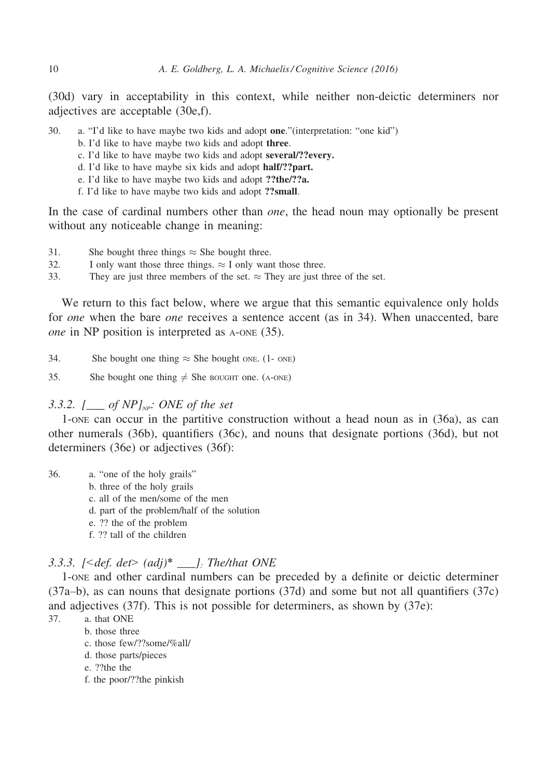(30d) vary in acceptability in this context, while neither non-deictic determiners nor adjectives are acceptable (30e,f).

30. a. "I'd like to have maybe two kids and adopt one."(interpretation: "one kid")

- b. I'd like to have maybe two kids and adopt three.
- c. I'd like to have maybe two kids and adopt several/??every.
- d. I'd like to have maybe six kids and adopt half/??part.
- e. I'd like to have maybe two kids and adopt ??the/??a.
- f. I'd like to have maybe two kids and adopt ??small.

In the case of cardinal numbers other than *one*, the head noun may optionally be present without any noticeable change in meaning:

- 31. She bought three things  $\approx$  She bought three.<br>32. I only want those three things.  $\approx$  I only wan
- 32. I only want those three things.  $\approx$  I only want those three.<br>33. They are just three members of the set  $\approx$  They are just the

They are just three members of the set.  $\approx$  They are just three of the set.

We return to this fact below, where we argue that this semantic equivalence only holds for *one* when the bare *one* receives a sentence accent (as in 34). When unaccented, bare one in NP position is interpreted as A-ONE (35).

34. She bought one thing  $\approx$  She bought ONE. (1- ONE)

35. She bought one thing  $\neq$  She BOUGHT one. (A-ONE)

# 3.3.2.  $[\_\_\_$  of NP]<sub>NP</sub>: ONE of the set

1-ONE can occur in the partitive construction without a head noun as in (36a), as can other numerals (36b), quantifiers (36c), and nouns that designate portions (36d), but not determiners (36e) or adjectives (36f):

36. a. "one of the holy grails"

- b. three of the holy grails
- c. all of the men/some of the men
- d. part of the problem/half of the solution
- e. ?? the of the problem
- f. ?? tall of the children

# 3.3.3.  $[ \leq def. det \geq (adj)^* \_].$  The/that ONE

1-ONE and other cardinal numbers can be preceded by a definite or deictic determiner (37a–b), as can nouns that designate portions (37d) and some but not all quantifiers (37c) and adjectives (37f). This is not possible for determiners, as shown by (37e):

- 37. a. that ONE
	- b. those three
		- c. those few/??some/%all/
		- d. those parts/pieces
		- e. ??the the
		- f. the poor/??the pinkish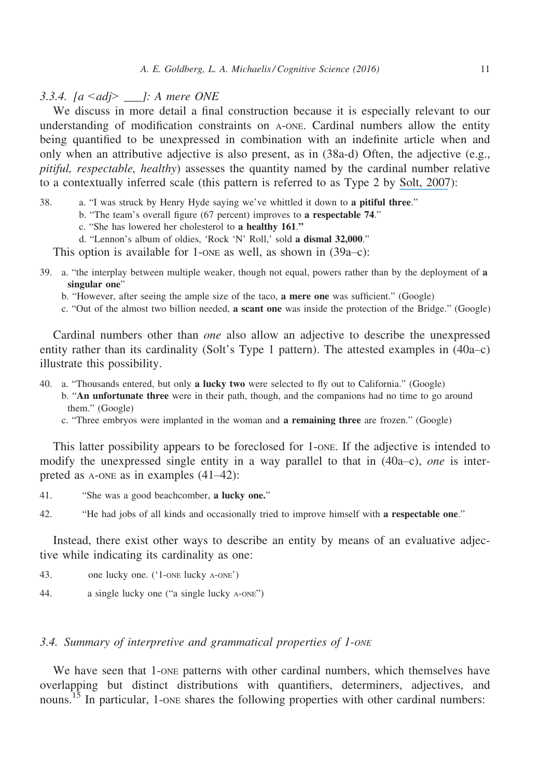3.3.4.  $[a \leq adj \geq -]$ : A mere ONE

We discuss in more detail a final construction because it is especially relevant to our understanding of modification constraints on A-ONE. Cardinal numbers allow the entity being quantified to be unexpressed in combination with an indefinite article when and only when an attributive adjective is also present, as in (38a-d) Often, the adjective (e.g., pitiful, respectable, healthy) assesses the quantity named by the cardinal number relative to a contextually inferred scale (this pattern is referred to as Type 2 by [Solt, 2007](https://www.researchgate.net/publication/267373402_Two_Types_of_Modified_Cardinals?el=1_x_8&enrichId=rgreq-6e07dde136e9c9ee84cd57dfdaebe836-XXX&enrichSource=Y292ZXJQYWdlOzMwNzg0MTMyNTtBUzo0MDg0NjE2NjY5OTYyMjRAMTQ3NDM5NjI1ODc3Ng==)):

38. a. "I was struck by Henry Hyde saying we've whittled it down to a pitiful three."

- b. "The team's overall figure (67 percent) improves to a respectable 74."
	- c. "She has lowered her cholesterol to a healthy 161."
- d. "Lennon's album of oldies, 'Rock 'N' Roll,' sold a dismal 32,000."

This option is available for 1-one as well, as shown in  $(39a-c)$ :

- 39. a. "the interplay between multiple weaker, though not equal, powers rather than by the deployment of a singular one"
	- b. "However, after seeing the ample size of the taco, a mere one was sufficient." (Google)
	- c. "Out of the almost two billion needed, a scant one was inside the protection of the Bridge." (Google)

Cardinal numbers other than one also allow an adjective to describe the unexpressed entity rather than its cardinality (Solt's Type 1 pattern). The attested examples in (40a–c) illustrate this possibility.

- 40. a. "Thousands entered, but only a lucky two were selected to fly out to California." (Google)
	- b. "An unfortunate three were in their path, though, and the companions had no time to go around them." (Google)
	- c. "Three embryos were implanted in the woman and a remaining three are frozen." (Google)

This latter possibility appears to be foreclosed for 1-ONE. If the adjective is intended to modify the unexpressed single entity in a way parallel to that in  $(40a-c)$ , one is interpreted as A-ONE as in examples (41–42):

41. "She was a good beachcomber, a lucky one."

42. "He had jobs of all kinds and occasionally tried to improve himself with a respectable one."

Instead, there exist other ways to describe an entity by means of an evaluative adjective while indicating its cardinality as one:

- 43. one lucky one. ('1-ONE lucky A-ONE')
- 44. a single lucky one ("a single lucky A-ONE")

# 3.4. Summary of interpretive and grammatical properties of 1-ONE

We have seen that 1-ONE patterns with other cardinal numbers, which themselves have overlapping but distinct distributions with quantifiers, determiners, adjectives, and nouns.<sup>15</sup> In particular, 1-one shares the following properties with other cardinal numbers: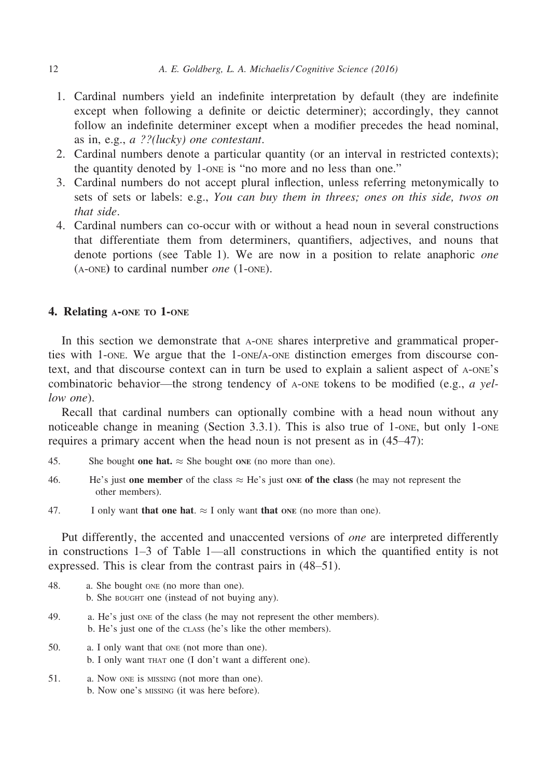- 1. Cardinal numbers yield an indefinite interpretation by default (they are indefinite except when following a definite or deictic determiner); accordingly, they cannot follow an indefinite determiner except when a modifier precedes the head nominal, as in, e.g., a ??(lucky) one contestant.
- 2. Cardinal numbers denote a particular quantity (or an interval in restricted contexts); the quantity denoted by 1-ONE is "no more and no less than one."
- 3. Cardinal numbers do not accept plural inflection, unless referring metonymically to sets of sets or labels: e.g., You can buy them in threes; ones on this side, twos on that side.
- 4. Cardinal numbers can co-occur with or without a head noun in several constructions that differentiate them from determiners, quantifiers, adjectives, and nouns that denote portions (see Table 1). We are now in a position to relate anaphoric one (A-ONE) to cardinal number one (1-ONE).

# 4. Relating A-ONE TO 1-ONE

In this section we demonstrate that A-ONE shares interpretive and grammatical properties with 1-ONE. We argue that the 1-ONE/A-ONE distinction emerges from discourse context, and that discourse context can in turn be used to explain a salient aspect of A-ONE's combinatoric behavior—the strong tendency of  $A$ -ONE tokens to be modified (e.g.,  $a$  yellow one).

Recall that cardinal numbers can optionally combine with a head noun without any noticeable change in meaning (Section 3.3.1). This is also true of 1-one, but only 1-one requires a primary accent when the head noun is not present as in (45–47):

- 45. She bought **one hat.**  $\approx$  She bought one (no more than one).
- 46. He's just one member of the class  $\approx$  He's just one of the class (he may not represent the other members).
- 47. I only want that one hat.  $\approx$  I only want that one (no more than one).

Put differently, the accented and unaccented versions of one are interpreted differently in constructions 1–3 of Table 1—all constructions in which the quantified entity is not expressed. This is clear from the contrast pairs in (48–51).

- 48. a. She bought ONE (no more than one). b. She BOUGHT one (instead of not buying any).
- 49. a. He's just ONE of the class (he may not represent the other members). b. He's just one of the CLASS (he's like the other members).
- 50. a. I only want that ONE (not more than one). b. I only want THAT one (I don't want a different one).
- 51. a. Now ONE is MISSING (not more than one). b. Now one's MISSING (it was here before).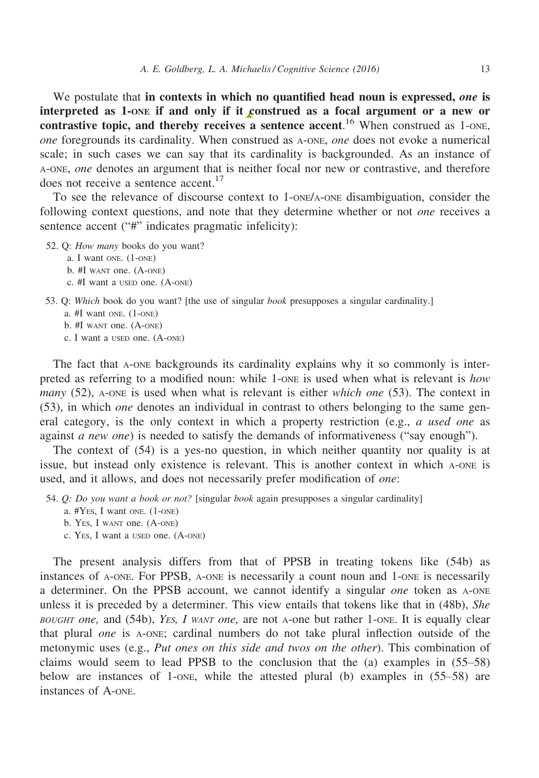We postulate that in contexts in which no quantified head noun is expressed, one is interpreted as 1-ONE if and only if it construed as a focal argument or a new or contrastive topic, and thereby receives a sentence accent.<sup>16</sup> When construed as 1-ONE, one foregrounds its cardinality. When construed as A-ONE, one does not evoke a numerical scale; in such cases we can say that its cardinality is backgrounded. As an instance of A-ONE, one denotes an argument that is neither focal nor new or contrastive, and therefore does not receive a sentence accent.<sup>17</sup>

To see the relevance of discourse context to 1-ONE/A-ONE disambiguation, consider the following context questions, and note that they determine whether or not one receives a sentence accent ("#" indicates pragmatic infelicity):

- 52. Q: How many books do you want?
	- a. I want ONE. (1-ONE)
	- b. #I WANT one. (A-ONE)
	- c. #I want a USED one. (A-ONE)
- 53. Q: Which book do you want? [the use of singular book presupposes a singular cardinality.]
	- a. #I want ONE. (1-ONE)
	- b. #I WANT one. (A-ONE)
	- c. I want a USED one. (A-ONE)

The fact that A-ONE backgrounds its cardinality explains why it so commonly is interpreted as referring to a modified noun: while 1-one is used when what is relevant is how *many* (52), A-ONE is used when what is relevant is either *which one* (53). The context in (53), in which one denotes an individual in contrast to others belonging to the same general category, is the only context in which a property restriction (e.g., *a used one* as against *a new one*) is needed to satisfy the demands of informativeness ("say enough").

The context of (54) is a yes-no question, in which neither quantity nor quality is at issue, but instead only existence is relevant. This is another context in which A-ONE is used, and it allows, and does not necessarily prefer modification of one:

- 54. Q: Do you want a book or not? [singular book again presupposes a singular cardinality]
	- a. #YES, I want ONE. (1-ONE)
	- b. YES, I WANT one. (A-ONE)
	- c. YES, I want a USED one. (A-ONE)

The present analysis differs from that of PPSB in treating tokens like (54b) as instances of A-ONE. For PPSB, A-ONE is necessarily a count noun and 1-ONE is necessarily a determiner. On the PPSB account, we cannot identify a singular one token as A-ONE unless it is preceded by a determiner. This view entails that tokens like that in (48b), She BOUGHT one, and  $(54b)$ , YES, I WANT one, are not A-one but rather 1-one. It is equally clear that plural one is A-ONE; cardinal numbers do not take plural inflection outside of the metonymic uses (e.g., Put ones on this side and twos on the other). This combination of claims would seem to lead PPSB to the conclusion that the (a) examples in (55–58) below are instances of 1-ONE, while the attested plural (b) examples in (55–58) are instances of A-ONE.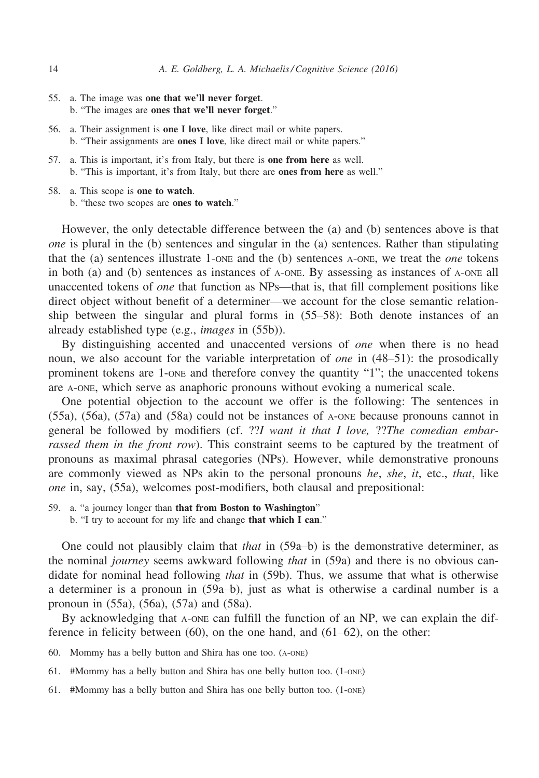- 55. a. The image was one that we'll never forget. b. "The images are ones that we'll never forget."
- 56. a. Their assignment is one I love, like direct mail or white papers. b. "Their assignments are ones I love, like direct mail or white papers."
- 57. a. This is important, it's from Italy, but there is one from here as well. b. "This is important, it's from Italy, but there are ones from here as well."
- 58. a. This scope is one to watch.
	- b. "these two scopes are ones to watch."

However, the only detectable difference between the (a) and (b) sentences above is that one is plural in the (b) sentences and singular in the (a) sentences. Rather than stipulating that the (a) sentences illustrate 1-ONE and the (b) sentences A-ONE, we treat the one tokens in both (a) and (b) sentences as instances of A-ONE. By assessing as instances of A-ONE all unaccented tokens of one that function as NPs—that is, that fill complement positions like direct object without benefit of a determiner—we account for the close semantic relationship between the singular and plural forms in (55–58): Both denote instances of an already established type (e.g., images in (55b)).

By distinguishing accented and unaccented versions of *one* when there is no head noun, we also account for the variable interpretation of *one* in (48–51): the prosodically prominent tokens are 1-ONE and therefore convey the quantity "1"; the unaccented tokens are A-ONE, which serve as anaphoric pronouns without evoking a numerical scale.

One potential objection to the account we offer is the following: The sentences in (55a), (56a), (57a) and (58a) could not be instances of A-ONE because pronouns cannot in general be followed by modifiers (cf. ??I want it that I love, ??The comedian embarrassed them in the front row). This constraint seems to be captured by the treatment of pronouns as maximal phrasal categories (NPs). However, while demonstrative pronouns are commonly viewed as NPs akin to the personal pronouns he, she, it, etc., that, like one in, say, (55a), welcomes post-modifiers, both clausal and prepositional:

- 59. a. "a journey longer than that from Boston to Washington"
	- b. "I try to account for my life and change that which I can."

One could not plausibly claim that that in  $(59a-b)$  is the demonstrative determiner, as the nominal *journey* seems awkward following *that* in (59a) and there is no obvious candidate for nominal head following *that* in (59b). Thus, we assume that what is otherwise a determiner is a pronoun in (59a–b), just as what is otherwise a cardinal number is a pronoun in (55a), (56a), (57a) and (58a).

By acknowledging that A-ONE can fulfill the function of an NP, we can explain the difference in felicity between (60), on the one hand, and (61–62), on the other:

60. Mommy has a belly button and Shira has one too. (A-ONE)

- 61. #Mommy has a belly button and Shira has one belly button too. (1-ONE)
- 61. #Mommy has a belly button and Shira has one belly button too. (1-ONE)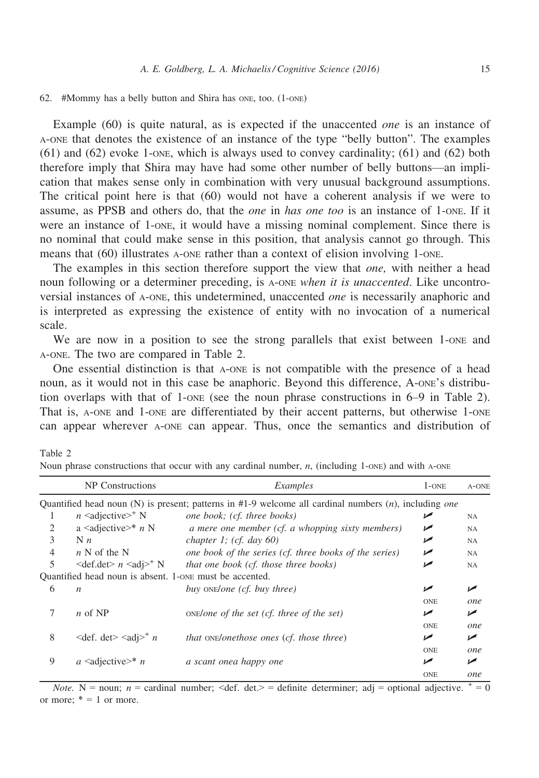#### 62. #Mommy has a belly button and Shira has ONE, too. (1-ONE)

Table 2

Example (60) is quite natural, as is expected if the unaccented *one* is an instance of A-ONE that denotes the existence of an instance of the type "belly button". The examples  $(61)$  and  $(62)$  evoke 1-one, which is always used to convey cardinality;  $(61)$  and  $(62)$  both therefore imply that Shira may have had some other number of belly buttons—an implication that makes sense only in combination with very unusual background assumptions. The critical point here is that (60) would not have a coherent analysis if we were to assume, as PPSB and others do, that the *one* in has one too is an instance of 1-one. If it were an instance of 1-ONE, it would have a missing nominal complement. Since there is no nominal that could make sense in this position, that analysis cannot go through. This means that (60) illustrates A-ONE rather than a context of elision involving 1-ONE.

The examples in this section therefore support the view that *one*, with neither a head noun following or a determiner preceding, is A-ONE when it is unaccented. Like uncontroversial instances of A-ONE, this undetermined, unaccented one is necessarily anaphoric and is interpreted as expressing the existence of entity with no invocation of a numerical scale.

We are now in a position to see the strong parallels that exist between 1-one and A-ONE. The two are compared in Table 2.

One essential distinction is that A-ONE is not compatible with the presence of a head noun, as it would not in this case be anaphoric. Beyond this difference, A-ONE's distribution overlaps with that of 1-one (see the noun phrase constructions in  $6-9$  in Table 2). That is, A-ONE and 1-ONE are differentiated by their accent patterns, but otherwise 1-ONE can appear wherever A-ONE can appear. Thus, once the semantics and distribution of

|                | NP Constructions                                        | Examples                                                                                                | $1$ -ONE   | A-ONE      |
|----------------|---------------------------------------------------------|---------------------------------------------------------------------------------------------------------|------------|------------|
|                |                                                         | Quantified head noun (N) is present; patterns in $#1-9$ welcome all cardinal numbers (n), including one |            |            |
|                | $n \leq \text{adjective}$ N                             | one book; (cf. three books)                                                                             | ↙          | <b>NA</b>  |
| 2              | a <adjective>* <math>n \text{ N}</math></adjective>     | a mere one member (cf. a whopping sixty members)                                                        | مرا        | <b>NA</b>  |
| 3              | N <sub>n</sub>                                          | chapter 1; (cf. day $60$ )                                                                              | ↙          | <b>NA</b>  |
| $\overline{4}$ | $n \text{ N}$ of the N                                  | one book of the series (cf. three books of the series)                                                  | مما        | <b>NA</b>  |
| 5              | $\leq$ def.det $> n \leq$ adj $>^+ N$                   | that one book (cf. those three books)                                                                   | مما        | <b>NA</b>  |
|                | Quantified head noun is absent. 1-one must be accented. |                                                                                                         |            |            |
| 6              | $\boldsymbol{n}$                                        | buy ONE/one (cf. buy three)                                                                             | ↙          | ✔          |
|                |                                                         |                                                                                                         | <b>ONE</b> | <i>one</i> |
| 7              | $n$ of NP                                               | $ONE$ one of the set (cf. three of the set)                                                             | ✔          | مما        |
|                |                                                         |                                                                                                         | <b>ONE</b> | one        |
| 8              | $\leq$ def. det $\geq$ $\leq$ adj $\geq$ <sup>+</sup> n | that ONE/onethose ones (cf. those three)                                                                | ↙          | ✔          |
|                |                                                         |                                                                                                         | <b>ONE</b> | one        |
| 9              | $a \leq \text{adjective} \geq n$                        | a scant onea happy one                                                                                  | مما        | ✔          |
|                |                                                         |                                                                                                         | <b>ONE</b> | one        |

Noun phrase constructions that occur with any cardinal number,  $n$ , (including 1-one) and with A-ONE

*Note.* N = noun; n = cardinal number; <def. det.> = definite determiner; adj = optional adjective.  $\pm = 0$ or more;  $* = 1$  or more.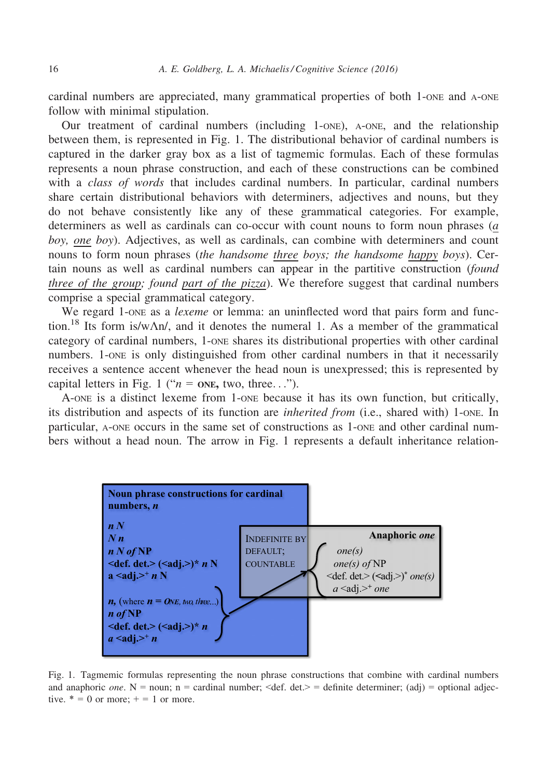cardinal numbers are appreciated, many grammatical properties of both 1-ONE and A-ONE follow with minimal stipulation.

Our treatment of cardinal numbers (including 1-ONE), A-ONE, and the relationship between them, is represented in Fig. 1. The distributional behavior of cardinal numbers is captured in the darker gray box as a list of tagmemic formulas. Each of these formulas represents a noun phrase construction, and each of these constructions can be combined with a *class of words* that includes cardinal numbers. In particular, cardinal numbers share certain distributional behaviors with determiners, adjectives and nouns, but they do not behave consistently like any of these grammatical categories. For example, determiners as well as cardinals can co-occur with count nouns to form noun phrases (a boy, one boy). Adjectives, as well as cardinals, can combine with determiners and count nouns to form noun phrases *(the handsome three boys; the handsome happy boys)*. Certain nouns as well as cardinal numbers can appear in the partitive construction (found three of the group; found part of the pizza). We therefore suggest that cardinal numbers comprise a special grammatical category.

We regard 1-one as a *lexeme* or lemma: an uninflected word that pairs form and function.<sup>18</sup> Its form is/w $\Lambda n$ , and it denotes the numeral 1. As a member of the grammatical category of cardinal numbers, 1-ONE shares its distributional properties with other cardinal numbers. 1-ONE is only distinguished from other cardinal numbers in that it necessarily receives a sentence accent whenever the head noun is unexpressed; this is represented by capital letters in Fig. 1 (" $n =$  one, two, three...").

A-ONE is a distinct lexeme from 1-ONE because it has its own function, but critically, its distribution and aspects of its function are *inherited from* (i.e., shared with) 1-one. In particular, A-ONE occurs in the same set of constructions as 1-ONE and other cardinal numbers without a head noun. The arrow in Fig. 1 represents a default inheritance relation-



Fig. 1. Tagmemic formulas representing the noun phrase constructions that combine with cardinal numbers and anaphoric *one*. N = noun; n = cardinal number;  $\langle \text{def. det.} \rangle$  = definite determiner; (adj) = optional adjective.  $* = 0$  or more;  $+ = 1$  or more.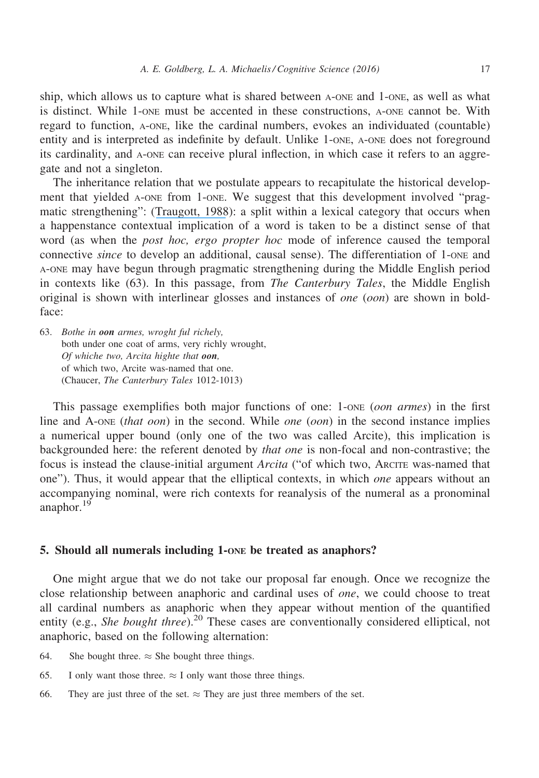ship, which allows us to capture what is shared between A-ONE and 1-ONE, as well as what is distinct. While 1-ONE must be accented in these constructions, A-ONE cannot be. With regard to function, A-ONE, like the cardinal numbers, evokes an individuated (countable) entity and is interpreted as indefinite by default. Unlike 1-ONE, A-ONE does not foreground its cardinality, and A-ONE can receive plural inflection, in which case it refers to an aggregate and not a singleton.

The inheritance relation that we postulate appears to recapitulate the historical development that yielded A-ONE from 1-ONE. We suggest that this development involved "pragmatic strengthening": ([Traugott, 1988](https://www.researchgate.net/publication/247220313_Pragmatic_Strengthening_and_Grammaticalization?el=1_x_8&enrichId=rgreq-6e07dde136e9c9ee84cd57dfdaebe836-XXX&enrichSource=Y292ZXJQYWdlOzMwNzg0MTMyNTtBUzo0MDg0NjE2NjY5OTYyMjRAMTQ3NDM5NjI1ODc3Ng==)): a split within a lexical category that occurs when a happenstance contextual implication of a word is taken to be a distinct sense of that word (as when the *post hoc, ergo propter hoc* mode of inference caused the temporal connective *since* to develop an additional, causal sense). The differentiation of 1-ONE and A-ONE may have begun through pragmatic strengthening during the Middle English period in contexts like (63). In this passage, from *The Canterbury Tales*, the Middle English original is shown with interlinear glosses and instances of one (oon) are shown in boldface:

63. Bothe in oon armes, wroght ful richely, both under one coat of arms, very richly wrought, Of whiche two, Arcita highte that oon, of which two, Arcite was-named that one. (Chaucer, The Canterbury Tales 1012-1013)

This passage exemplifies both major functions of one: 1-one (*oon armes*) in the first line and A-ONE (that oon) in the second. While one (oon) in the second instance implies a numerical upper bound (only one of the two was called Arcite), this implication is backgrounded here: the referent denoted by that one is non-focal and non-contrastive; the focus is instead the clause-initial argument Arcita ("of which two, ARCITE was-named that one"). Thus, it would appear that the elliptical contexts, in which one appears without an accompanying nominal, were rich contexts for reanalysis of the numeral as a pronominal anaphor. $19$ 

## 5. Should all numerals including 1-ONE be treated as anaphors?

One might argue that we do not take our proposal far enough. Once we recognize the close relationship between anaphoric and cardinal uses of one, we could choose to treat all cardinal numbers as anaphoric when they appear without mention of the quantified entity (e.g., She bought three).<sup>20</sup> These cases are conventionally considered elliptical, not anaphoric, based on the following alternation:

- 64. She bought three.  $\approx$  She bought three things.
- 65. I only want those three.  $\approx$  I only want those three things.
- 66. They are just three of the set.  $\approx$  They are just three members of the set.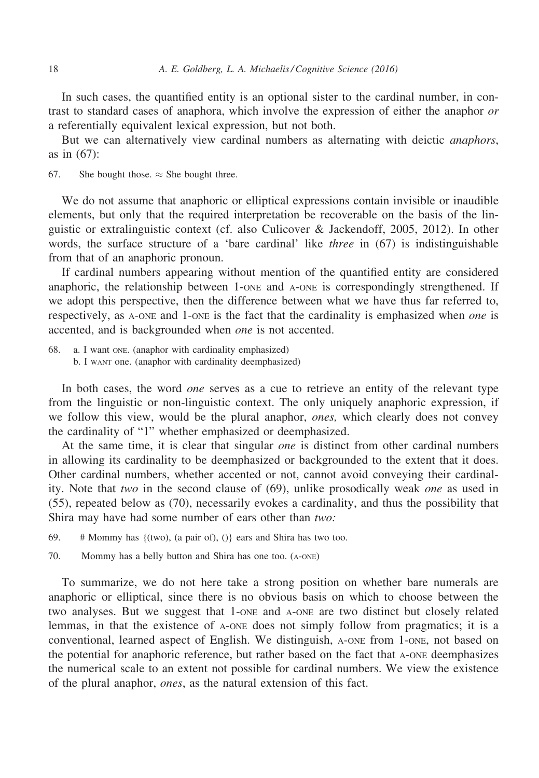In such cases, the quantified entity is an optional sister to the cardinal number, in contrast to standard cases of anaphora, which involve the expression of either the anaphor or a referentially equivalent lexical expression, but not both.

But we can alternatively view cardinal numbers as alternating with deictic *anaphors*, as in (67):

67. She bought those.  $\approx$  She bought three.

We do not assume that anaphoric or elliptical expressions contain invisible or inaudible elements, but only that the required interpretation be recoverable on the basis of the linguistic or extralinguistic context (cf. also Culicover & Jackendoff, 2005, 2012). In other words, the surface structure of a 'bare cardinal' like three in (67) is indistinguishable from that of an anaphoric pronoun.

If cardinal numbers appearing without mention of the quantified entity are considered anaphoric, the relationship between 1-ONE and A-ONE is correspondingly strengthened. If we adopt this perspective, then the difference between what we have thus far referred to, respectively, as A-ONE and 1-ONE is the fact that the cardinality is emphasized when one is accented, and is backgrounded when one is not accented.

68. a. I want ONE. (anaphor with cardinality emphasized) b. I WANT one. (anaphor with cardinality deemphasized)

In both cases, the word *one* serves as a cue to retrieve an entity of the relevant type from the linguistic or non-linguistic context. The only uniquely anaphoric expression, if we follow this view, would be the plural anaphor, *ones*, which clearly does not convey the cardinality of "1" whether emphasized or deemphasized.

At the same time, it is clear that singular *one* is distinct from other cardinal numbers in allowing its cardinality to be deemphasized or backgrounded to the extent that it does. Other cardinal numbers, whether accented or not, cannot avoid conveying their cardinality. Note that two in the second clause of (69), unlike prosodically weak one as used in (55), repeated below as (70), necessarily evokes a cardinality, and thus the possibility that Shira may have had some number of ears other than two:

69. # Mommy has  $\{(two), (a pair of), ()\}$  ears and Shira has two too.

70. Mommy has a belly button and Shira has one too. (A-ONE)

To summarize, we do not here take a strong position on whether bare numerals are anaphoric or elliptical, since there is no obvious basis on which to choose between the two analyses. But we suggest that 1-ONE and A-ONE are two distinct but closely related lemmas, in that the existence of A-ONE does not simply follow from pragmatics; it is a conventional, learned aspect of English. We distinguish, A-ONE from 1-ONE, not based on the potential for anaphoric reference, but rather based on the fact that A-ONE deemphasizes the numerical scale to an extent not possible for cardinal numbers. We view the existence of the plural anaphor, ones, as the natural extension of this fact.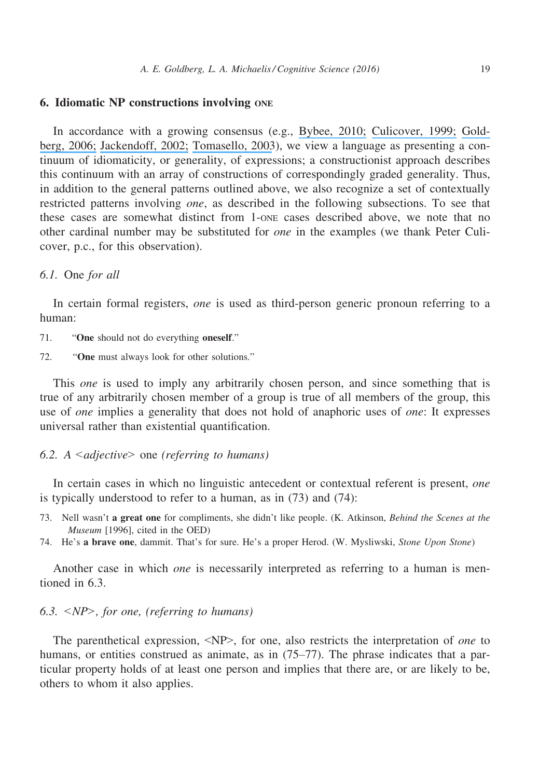# 6. Idiomatic NP constructions involving ONE

In accordance with a growing consensus (e.g., [Bybee, 2010;](https://www.researchgate.net/publication/272816245_Language_Usage_and_Cognition?el=1_x_8&enrichId=rgreq-6e07dde136e9c9ee84cd57dfdaebe836-XXX&enrichSource=Y292ZXJQYWdlOzMwNzg0MTMyNTtBUzo0MDg0NjE2NjY5OTYyMjRAMTQ3NDM5NjI1ODc3Ng==) [Culicover, 1999;](https://www.researchgate.net/publication/247692251_Syntactic_Nuts_Hard_Cases_in_Syntax?el=1_x_8&enrichId=rgreq-6e07dde136e9c9ee84cd57dfdaebe836-XXX&enrichSource=Y292ZXJQYWdlOzMwNzg0MTMyNTtBUzo0MDg0NjE2NjY5OTYyMjRAMTQ3NDM5NjI1ODc3Ng==) [Gold](https://www.researchgate.net/publication/272816446_Constructions_at_Work_The_Nature_of_Generalization_in_Language?el=1_x_8&enrichId=rgreq-6e07dde136e9c9ee84cd57dfdaebe836-XXX&enrichSource=Y292ZXJQYWdlOzMwNzg0MTMyNTtBUzo0MDg0NjE2NjY5OTYyMjRAMTQ3NDM5NjI1ODc3Ng==)[berg, 2006;](https://www.researchgate.net/publication/272816446_Constructions_at_Work_The_Nature_of_Generalization_in_Language?el=1_x_8&enrichId=rgreq-6e07dde136e9c9ee84cd57dfdaebe836-XXX&enrichSource=Y292ZXJQYWdlOzMwNzg0MTMyNTtBUzo0MDg0NjE2NjY5OTYyMjRAMTQ3NDM5NjI1ODc3Ng==) [Jackendoff, 2002;](https://www.researchgate.net/publication/8337998_Precis_of_Foundations_of_Language_Brain_Meaning_Grammar_Evolution?el=1_x_8&enrichId=rgreq-6e07dde136e9c9ee84cd57dfdaebe836-XXX&enrichSource=Y292ZXJQYWdlOzMwNzg0MTMyNTtBUzo0MDg0NjE2NjY5OTYyMjRAMTQ3NDM5NjI1ODc3Ng==) [Tomasello, 2003](https://www.researchgate.net/publication/285018128_A_Usage-Based_Approach_to_Child_Language_Acquisition?el=1_x_8&enrichId=rgreq-6e07dde136e9c9ee84cd57dfdaebe836-XXX&enrichSource=Y292ZXJQYWdlOzMwNzg0MTMyNTtBUzo0MDg0NjE2NjY5OTYyMjRAMTQ3NDM5NjI1ODc3Ng==)), we view a language as presenting a continuum of idiomaticity, or generality, of expressions; a constructionist approach describes this continuum with an array of constructions of correspondingly graded generality. Thus, in addition to the general patterns outlined above, we also recognize a set of contextually restricted patterns involving one, as described in the following subsections. To see that these cases are somewhat distinct from 1-ONE cases described above, we note that no other cardinal number may be substituted for one in the examples (we thank Peter Culicover, p.c., for this observation).

### 6.1. One for all

In certain formal registers, *one* is used as third-person generic pronoun referring to a human:

- 71. "One should not do everything oneself."
- 72. "One must always look for other solutions."

This one is used to imply any arbitrarily chosen person, and since something that is true of any arbitrarily chosen member of a group is true of all members of the group, this use of *one* implies a generality that does not hold of anaphoric uses of *one*: It expresses universal rather than existential quantification.

# 6.2. A  $\leq$ adjective $\geq$  one (referring to humans)

In certain cases in which no linguistic antecedent or contextual referent is present, one is typically understood to refer to a human, as in (73) and (74):

- 73. Nell wasn't a great one for compliments, she didn't like people. (K. Atkinson, Behind the Scenes at the Museum [1996], cited in the OED)
- 74. He's a brave one, dammit. That's for sure. He's a proper Herod. (W. Mysliwski, Stone Upon Stone)

Another case in which one is necessarily interpreted as referring to a human is mentioned in 6.3.

# 6.3.  $\langle NP \rangle$ , for one, (referring to humans)

The parenthetical expression, <NP>, for one, also restricts the interpretation of one to humans, or entities construed as animate, as in  $(75–77)$ . The phrase indicates that a particular property holds of at least one person and implies that there are, or are likely to be, others to whom it also applies.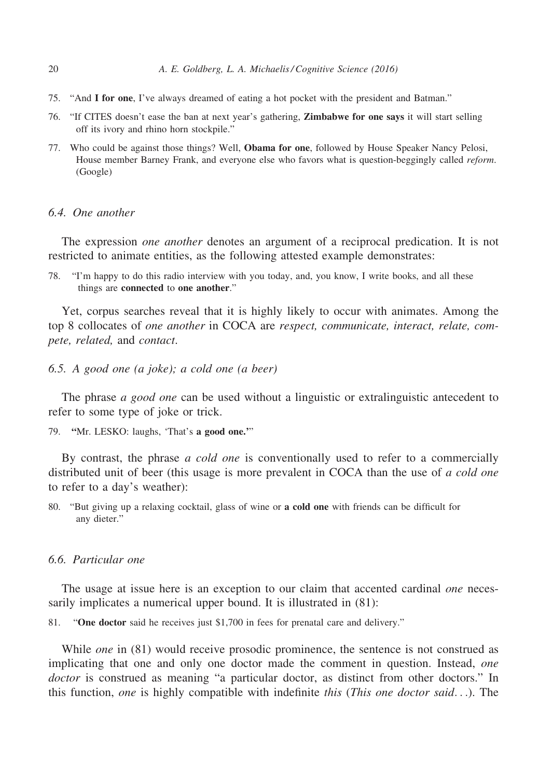- 75. "And I for one, I've always dreamed of eating a hot pocket with the president and Batman."
- 76. "If CITES doesn't ease the ban at next year's gathering, Zimbabwe for one says it will start selling off its ivory and rhino horn stockpile."
- 77. Who could be against those things? Well, Obama for one, followed by House Speaker Nancy Pelosi, House member Barney Frank, and everyone else who favors what is question-beggingly called reform. (Google)

## 6.4. One another

The expression *one another* denotes an argument of a reciprocal predication. It is not restricted to animate entities, as the following attested example demonstrates:

78. "I'm happy to do this radio interview with you today, and, you know, I write books, and all these things are connected to one another."

Yet, corpus searches reveal that it is highly likely to occur with animates. Among the top 8 collocates of one another in COCA are respect, communicate, interact, relate, compete, related, and contact.

6.5. A good one (a joke); a cold one (a beer)

The phrase *a good one* can be used without a linguistic or extralinguistic antecedent to refer to some type of joke or trick.

79. "Mr. LESKO: laughs, 'That's a good one."

By contrast, the phrase *a cold one* is conventionally used to refer to a commercially distributed unit of beer (this usage is more prevalent in COCA than the use of a cold one to refer to a day's weather):

80. "But giving up a relaxing cocktail, glass of wine or a cold one with friends can be difficult for any dieter."

# 6.6. Particular one

The usage at issue here is an exception to our claim that accented cardinal *one* necessarily implicates a numerical upper bound. It is illustrated in (81):

81. "One doctor said he receives just \$1,700 in fees for prenatal care and delivery."

While *one* in (81) would receive prosodic prominence, the sentence is not construed as implicating that one and only one doctor made the comment in question. Instead, *one* doctor is construed as meaning "a particular doctor, as distinct from other doctors." In this function, one is highly compatible with indefinite this (This one doctor said...). The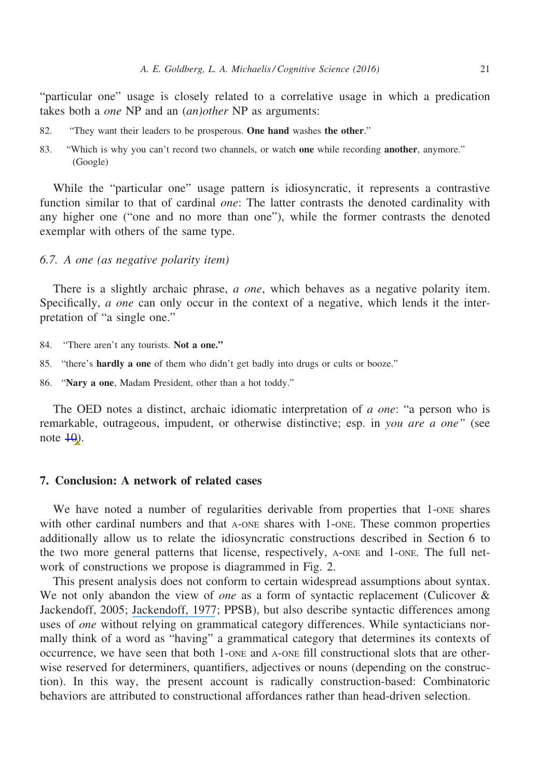"particular one" usage is closely related to a correlative usage in which a predication takes both a one NP and an (an)other NP as arguments:

- 82. "They want their leaders to be prosperous. One hand washes the other."
- 83. "Which is why you can't record two channels, or watch one while recording another, anymore." (Google)

While the "particular one" usage pattern is idiosyncratic, it represents a contrastive function similar to that of cardinal *one*: The latter contrasts the denoted cardinality with any higher one ("one and no more than one"), while the former contrasts the denoted exemplar with others of the same type.

# 6.7. A one (as negative polarity item)

There is a slightly archaic phrase, *a one*, which behaves as a negative polarity item. Specifically, *a one* can only occur in the context of a negative, which lends it the interpretation of "a single one."

- 84. "There aren't any tourists. Not a one."
- 85. "there's hardly a one of them who didn't get badly into drugs or cults or booze."
- 86. "Nary a one, Madam President, other than a hot toddy."

The OED notes a distinct, archaic idiomatic interpretation of a one: "a person who is remarkable, outrageous, impudent, or otherwise distinctive; esp. in you are a one" (see note  $\overline{40}$ .

## 7. Conclusion: A network of related cases

We have noted a number of regularities derivable from properties that 1-one shares with other cardinal numbers and that A-ONE shares with 1-ONE. These common properties additionally allow us to relate the idiosyncratic constructions described in Section 6 to the two more general patterns that license, respectively, A-ONE and 1-ONE. The full network of constructions we propose is diagrammed in Fig. 2.

This present analysis does not conform to certain widespread assumptions about syntax. We not only abandon the view of *one* as a form of syntactic replacement (Culicover  $\&$ Jackendoff, 2005; [Jackendoff, 1977](https://www.researchgate.net/publication/230876137_X-bar_Syntax_A_Study_of_Phrase_Structure?el=1_x_8&enrichId=rgreq-6e07dde136e9c9ee84cd57dfdaebe836-XXX&enrichSource=Y292ZXJQYWdlOzMwNzg0MTMyNTtBUzo0MDg0NjE2NjY5OTYyMjRAMTQ3NDM5NjI1ODc3Ng==); PPSB), but also describe syntactic differences among uses of *one* without relying on grammatical category differences. While syntacticians normally think of a word as "having" a grammatical category that determines its contexts of occurrence, we have seen that both 1-ONE and A-ONE fill constructional slots that are otherwise reserved for determiners, quantifiers, adjectives or nouns (depending on the construction). In this way, the present account is radically construction-based: Combinatoric behaviors are attributed to constructional affordances rather than head-driven selection.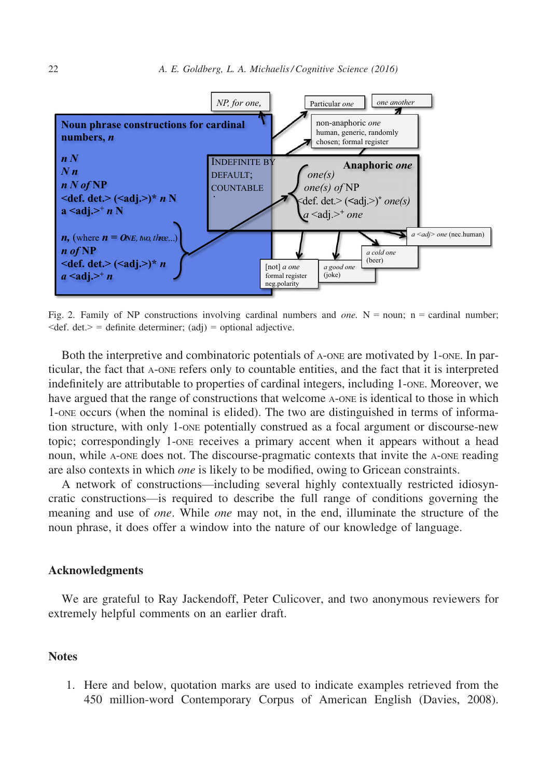

Fig. 2. Family of NP constructions involving cardinal numbers and *one*. N = noun; n = cardinal number;  $\leq$ def. det. $>$  = definite determiner; (adj) = optional adjective.

Both the interpretive and combinatoric potentials of A-ONE are motivated by 1-ONE. In particular, the fact that A-ONE refers only to countable entities, and the fact that it is interpreted indefinitely are attributable to properties of cardinal integers, including 1-one. Moreover, we have argued that the range of constructions that welcome A-ONE is identical to those in which 1-ONE occurs (when the nominal is elided). The two are distinguished in terms of information structure, with only 1-ONE potentially construed as a focal argument or discourse-new topic; correspondingly 1-ONE receives a primary accent when it appears without a head noun, while A-ONE does not. The discourse-pragmatic contexts that invite the A-ONE reading are also contexts in which one is likely to be modified, owing to Gricean constraints.

A network of constructions—including several highly contextually restricted idiosyncratic constructions—is required to describe the full range of conditions governing the meaning and use of *one*. While *one* may not, in the end, illuminate the structure of the noun phrase, it does offer a window into the nature of our knowledge of language.

# Acknowledgments

We are grateful to Ray Jackendoff, Peter Culicover, and two anonymous reviewers for extremely helpful comments on an earlier draft.

# **Notes**

1. Here and below, quotation marks are used to indicate examples retrieved from the 450 million-word Contemporary Corpus of American English (Davies, 2008).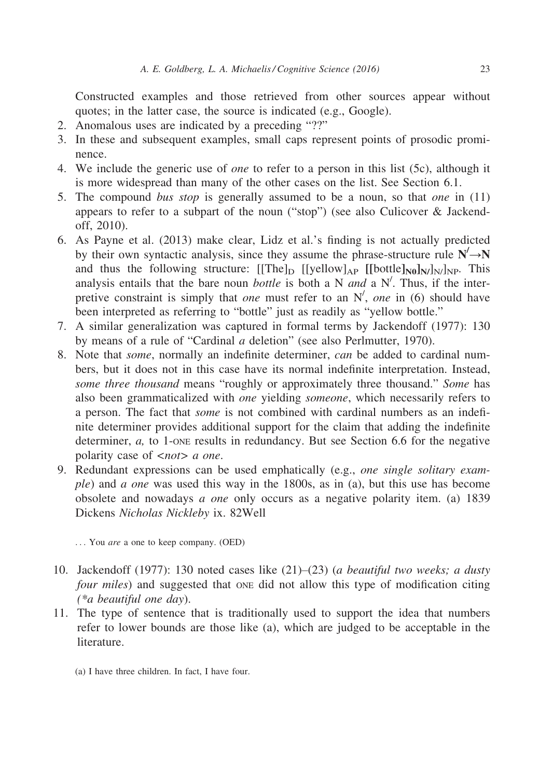Constructed examples and those retrieved from other sources appear without quotes; in the latter case, the source is indicated (e.g., Google).

- 2. Anomalous uses are indicated by a preceding "??"
- 3. In these and subsequent examples, small caps represent points of prosodic prominence.
- 4. We include the generic use of *one* to refer to a person in this list (5c), although it is more widespread than many of the other cases on the list. See Section 6.1.
- 5. The compound *bus stop* is generally assumed to be a noun, so that *one* in  $(11)$ appears to refer to a subpart of the noun ("stop") (see also Culicover & Jackendoff, 2010).
- 6. As Payne et al. (2013) make clear, Lidz et al.'s finding is not actually predicted by their own syntactic analysis, since they assume the phrase-structure rule  $N' \rightarrow N$ and thus the following structure:  $[[The]_D [[yellow]_{AP} [[bottom]_{N}]/_{NP}$ . This analysis entails that the bare noun *bottle* is both a N *and* a N'. Thus, if the interpretive constraint is simply that one must refer to an  $N'$ , one in (6) should have been interpreted as referring to "bottle" just as readily as "yellow bottle."
- 7. A similar generalization was captured in formal terms by Jackendoff (1977): 130 by means of a rule of "Cardinal a deletion" (see also Perlmutter, 1970).
- 8. Note that some, normally an indefinite determiner, can be added to cardinal numbers, but it does not in this case have its normal indefinite interpretation. Instead, some three thousand means "roughly or approximately three thousand." Some has also been grammaticalized with one yielding someone, which necessarily refers to a person. The fact that some is not combined with cardinal numbers as an indefinite determiner provides additional support for the claim that adding the indefinite determiner,  $a$ , to 1-one results in redundancy. But see Section 6.6 for the negative polarity case of <*not*> *a one*.
- 9. Redundant expressions can be used emphatically (e.g., one single solitary example) and a one was used this way in the 1800s, as in (a), but this use has become obsolete and nowadays a one only occurs as a negative polarity item. (a) 1839 Dickens Nicholas Nickleby ix. 82Well

... You are a one to keep company. (OED)

- 10. Jackendoff (1977): 130 noted cases like  $(21)$ – $(23)$  (*a beautiful two weeks; a dusty* four miles) and suggested that one did not allow this type of modification citing (\*a beautiful one day).
- 11. The type of sentence that is traditionally used to support the idea that numbers refer to lower bounds are those like (a), which are judged to be acceptable in the literature.
	- (a) I have three children. In fact, I have four.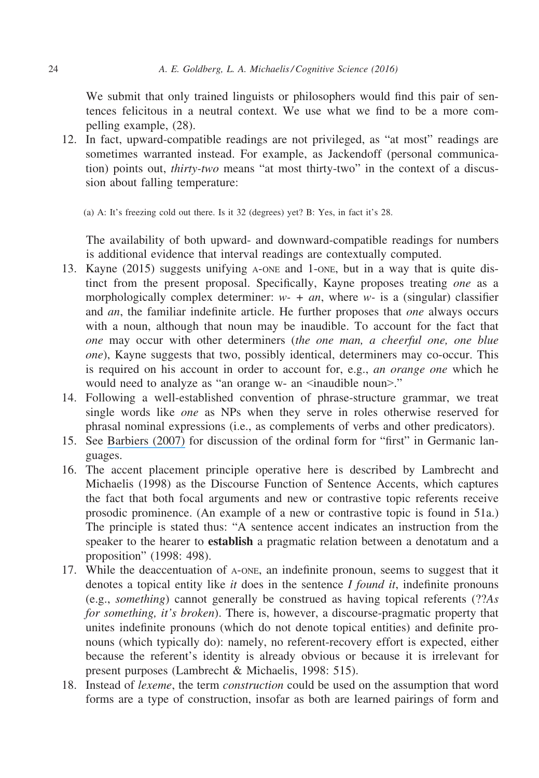We submit that only trained linguists or philosophers would find this pair of sentences felicitous in a neutral context. We use what we find to be a more compelling example, (28).

12. In fact, upward-compatible readings are not privileged, as "at most" readings are sometimes warranted instead. For example, as Jackendoff (personal communication) points out, thirty-two means "at most thirty-two" in the context of a discussion about falling temperature:

(a) A: It's freezing cold out there. Is it 32 (degrees) yet? B: Yes, in fact it's 28.

The availability of both upward- and downward-compatible readings for numbers is additional evidence that interval readings are contextually computed.

- 13. Kayne (2015) suggests unifying A-ONE and 1-ONE, but in a way that is quite distinct from the present proposal. Specifically, Kayne proposes treating one as a morphologically complex determiner:  $w - + a_n$ , where w- is a (singular) classifier and an, the familiar indefinite article. He further proposes that one always occurs with a noun, although that noun may be inaudible. To account for the fact that one may occur with other determiners (the one man, a cheerful one, one blue one), Kayne suggests that two, possibly identical, determiners may co-occur. This is required on his account in order to account for, e.g., an orange one which he would need to analyze as "an orange w- an <inaudible noun>."
- 14. Following a well-established convention of phrase-structure grammar, we treat single words like one as NPs when they serve in roles otherwise reserved for phrasal nominal expressions (i.e., as complements of verbs and other predicators).
- 15. See [Barbiers \(2007\)](https://www.researchgate.net/publication/46695297_Indefinite_numerals_ONE_and_MANY_and_the_cause_of_ordinal_suppletion?el=1_x_8&enrichId=rgreq-6e07dde136e9c9ee84cd57dfdaebe836-XXX&enrichSource=Y292ZXJQYWdlOzMwNzg0MTMyNTtBUzo0MDg0NjE2NjY5OTYyMjRAMTQ3NDM5NjI1ODc3Ng==) for discussion of the ordinal form for "first" in Germanic languages.
- 16. The accent placement principle operative here is described by Lambrecht and Michaelis (1998) as the Discourse Function of Sentence Accents, which captures the fact that both focal arguments and new or contrastive topic referents receive prosodic prominence. (An example of a new or contrastive topic is found in 51a.) The principle is stated thus: "A sentence accent indicates an instruction from the speaker to the hearer to **establish** a pragmatic relation between a denotatum and a proposition" (1998: 498).
- 17. While the deaccentuation of A-ONE, an indefinite pronoun, seems to suggest that it denotes a topical entity like *it* does in the sentence  $I$  *found it*, indefinite pronouns (e.g., something) cannot generally be construed as having topical referents (??As for something, it's broken). There is, however, a discourse-pragmatic property that unites indefinite pronouns (which do not denote topical entities) and definite pronouns (which typically do): namely, no referent-recovery effort is expected, either because the referent's identity is already obvious or because it is irrelevant for present purposes (Lambrecht & Michaelis, 1998: 515).
- 18. Instead of *lexeme*, the term *construction* could be used on the assumption that word forms are a type of construction, insofar as both are learned pairings of form and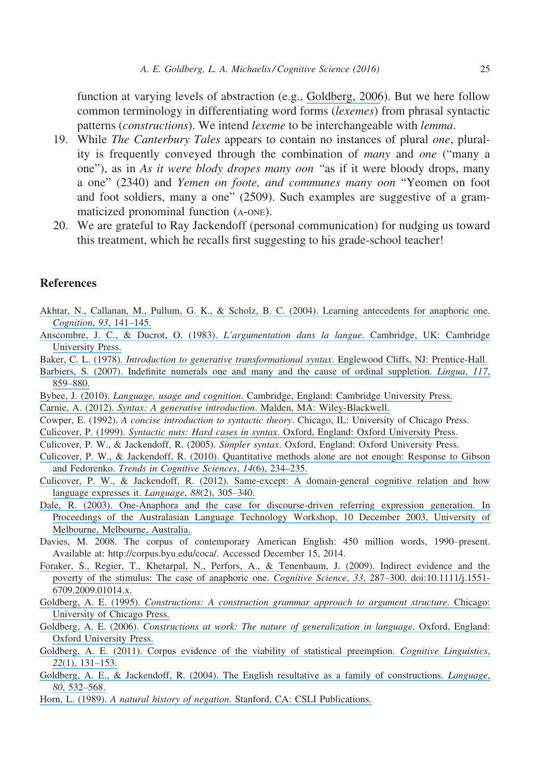function at varying levels of abstraction (e.g., [Goldberg, 2006](https://www.researchgate.net/publication/272816446_Constructions_at_Work_The_Nature_of_Generalization_in_Language?el=1_x_8&enrichId=rgreq-6e07dde136e9c9ee84cd57dfdaebe836-XXX&enrichSource=Y292ZXJQYWdlOzMwNzg0MTMyNTtBUzo0MDg0NjE2NjY5OTYyMjRAMTQ3NDM5NjI1ODc3Ng==)). But we here follow common terminology in differentiating word forms *(lexemes)* from phrasal syntactic patterns (constructions). We intend lexeme to be interchangeable with lemma.

- 19. While *The Canterbury Tales* appears to contain no instances of plural *one*, plurality is frequently conveyed through the combination of many and one ("many a one"), as in As it were blody dropes many oon "as if it were bloody drops, many a one" (2340) and Yemen on foote, and communes many oon "Yeomen on foot and foot soldiers, many a one" (2509). Such examples are suggestive of a grammaticized pronominal function (A-ONE).
- 20. We are grateful to Ray Jackendoff (personal communication) for nudging us toward this treatment, which he recalls first suggesting to his grade-school teacher!

# **References**

- [Akhtar, N., Callanan, M., Pullum, G. K., & Scholz, B. C. \(2004\). Learning antecedents for anaphoric one.](https://www.researchgate.net/publication/8558112_Learning_antecedents_for_anaphoric_one?el=1_x_8&enrichId=rgreq-6e07dde136e9c9ee84cd57dfdaebe836-XXX&enrichSource=Y292ZXJQYWdlOzMwNzg0MTMyNTtBUzo0MDg0NjE2NjY5OTYyMjRAMTQ3NDM5NjI1ODc3Ng==) [Cognition](https://www.researchgate.net/publication/8558112_Learning_antecedents_for_anaphoric_one?el=1_x_8&enrichId=rgreq-6e07dde136e9c9ee84cd57dfdaebe836-XXX&enrichSource=Y292ZXJQYWdlOzMwNzg0MTMyNTtBUzo0MDg0NjE2NjY5OTYyMjRAMTQ3NDM5NjI1ODc3Ng==), 93, 141–145.
- [Anscombre, J. C., & Ducrot, O. \(1983\).](https://www.researchgate.net/publication/246625736_L) L'argumentation dans la langue. Cambridge, UK: Cambridge [University Press.](https://www.researchgate.net/publication/246625736_L)
- Baker, C. L. (1978). [Introduction to generative transformational syntax](https://www.researchgate.net/publication/242482015_Introduction_to_Generative-Transformational_Syntax?el=1_x_8&enrichId=rgreq-6e07dde136e9c9ee84cd57dfdaebe836-XXX&enrichSource=Y292ZXJQYWdlOzMwNzg0MTMyNTtBUzo0MDg0NjE2NjY5OTYyMjRAMTQ3NDM5NjI1ODc3Ng==). Englewood Cliffs, NJ: Prentice-Hall.
- [Barbiers, S. \(2007\). Indefinite numerals one and many and the cause of ordinal suppletion.](https://www.researchgate.net/publication/46695297_Indefinite_numerals_ONE_and_MANY_and_the_cause_of_ordinal_suppletion?el=1_x_8&enrichId=rgreq-6e07dde136e9c9ee84cd57dfdaebe836-XXX&enrichSource=Y292ZXJQYWdlOzMwNzg0MTMyNTtBUzo0MDg0NjE2NjY5OTYyMjRAMTQ3NDM5NjI1ODc3Ng==) Lingua, 117, 859–[880.](https://www.researchgate.net/publication/46695297_Indefinite_numerals_ONE_and_MANY_and_the_cause_of_ordinal_suppletion?el=1_x_8&enrichId=rgreq-6e07dde136e9c9ee84cd57dfdaebe836-XXX&enrichSource=Y292ZXJQYWdlOzMwNzg0MTMyNTtBUzo0MDg0NjE2NjY5OTYyMjRAMTQ3NDM5NjI1ODc3Ng==)
- Bybee, J. (2010). Language, usage and cognition[. Cambridge, England: Cambridge University Press.](https://www.researchgate.net/publication/272816245_Language_Usage_and_Cognition?el=1_x_8&enrichId=rgreq-6e07dde136e9c9ee84cd57dfdaebe836-XXX&enrichSource=Y292ZXJQYWdlOzMwNzg0MTMyNTtBUzo0MDg0NjE2NjY5OTYyMjRAMTQ3NDM5NjI1ODc3Ng==)
- Carnie, A. (2012). [Syntax: A generative introduction](https://www.researchgate.net/publication/50952768_Syntax_A_Generative_Introduction?el=1_x_8&enrichId=rgreq-6e07dde136e9c9ee84cd57dfdaebe836-XXX&enrichSource=Y292ZXJQYWdlOzMwNzg0MTMyNTtBUzo0MDg0NjE2NjY5OTYyMjRAMTQ3NDM5NjI1ODc3Ng==). Malden, MA: Wiley-Blackwell.
- Cowper, E. (1992). A concise introduction to syntactic theory. Chicago, IL: University of Chicago Press.
- Culicover, P. (1999). Syntactic nuts: Hard cases in syntax[. Oxford, England: Oxford University Press.](https://www.researchgate.net/publication/247692251_Syntactic_Nuts_Hard_Cases_in_Syntax?el=1_x_8&enrichId=rgreq-6e07dde136e9c9ee84cd57dfdaebe836-XXX&enrichSource=Y292ZXJQYWdlOzMwNzg0MTMyNTtBUzo0MDg0NjE2NjY5OTYyMjRAMTQ3NDM5NjI1ODc3Ng==)
- Culicover, P. W., & Jackendoff, R. (2005). Simpler syntax. Oxford, England: Oxford University Press.
- [Culicover, P. W., & Jackendoff, R. \(2010\). Quantitative methods alone are not enough: Response to Gibson](https://www.researchgate.net/publication/43246924_Quantitative_Methods_Alone_Are_Not_Enough_Response_to_Gibson_and_Fedorenko?el=1_x_8&enrichId=rgreq-6e07dde136e9c9ee84cd57dfdaebe836-XXX&enrichSource=Y292ZXJQYWdlOzMwNzg0MTMyNTtBUzo0MDg0NjE2NjY5OTYyMjRAMTQ3NDM5NjI1ODc3Ng==) and Fedorenko. [Trends in Cognitive Sciences](https://www.researchgate.net/publication/43246924_Quantitative_Methods_Alone_Are_Not_Enough_Response_to_Gibson_and_Fedorenko?el=1_x_8&enrichId=rgreq-6e07dde136e9c9ee84cd57dfdaebe836-XXX&enrichSource=Y292ZXJQYWdlOzMwNzg0MTMyNTtBUzo0MDg0NjE2NjY5OTYyMjRAMTQ3NDM5NjI1ODc3Ng==), 14(6), 234–235.
- [Culicover, P. W., & Jackendoff, R. \(2012\). Same-except: A domain-general cognitive relation and how](https://www.researchgate.net/publication/236761063_Same-except_A_domain-general_cognitive_relation_and_how_language_expresses_it?el=1_x_8&enrichId=rgreq-6e07dde136e9c9ee84cd57dfdaebe836-XXX&enrichSource=Y292ZXJQYWdlOzMwNzg0MTMyNTtBUzo0MDg0NjE2NjY5OTYyMjRAMTQ3NDM5NjI1ODc3Ng==) [language expresses it.](https://www.researchgate.net/publication/236761063_Same-except_A_domain-general_cognitive_relation_and_how_language_expresses_it?el=1_x_8&enrichId=rgreq-6e07dde136e9c9ee84cd57dfdaebe836-XXX&enrichSource=Y292ZXJQYWdlOzMwNzg0MTMyNTtBUzo0MDg0NjE2NjY5OTYyMjRAMTQ3NDM5NjI1ODc3Ng==) Language, 88(2), 305–340.
- [Dale, R. \(2003\). One-Anaphora and the case for discourse-driven referring expression generation. In](https://www.researchgate.net/publication/228598290_One-anaphora_and_the_case_for_discourse-driven_referring_expression_generation?el=1_x_8&enrichId=rgreq-6e07dde136e9c9ee84cd57dfdaebe836-XXX&enrichSource=Y292ZXJQYWdlOzMwNzg0MTMyNTtBUzo0MDg0NjE2NjY5OTYyMjRAMTQ3NDM5NjI1ODc3Ng==) [Proceedings of the Australasian Language Technology Workshop, 10 December 2003, University of](https://www.researchgate.net/publication/228598290_One-anaphora_and_the_case_for_discourse-driven_referring_expression_generation?el=1_x_8&enrichId=rgreq-6e07dde136e9c9ee84cd57dfdaebe836-XXX&enrichSource=Y292ZXJQYWdlOzMwNzg0MTMyNTtBUzo0MDg0NjE2NjY5OTYyMjRAMTQ3NDM5NjI1ODc3Ng==) [Melbourne, Melbourne, Australia.](https://www.researchgate.net/publication/228598290_One-anaphora_and_the_case_for_discourse-driven_referring_expression_generation?el=1_x_8&enrichId=rgreq-6e07dde136e9c9ee84cd57dfdaebe836-XXX&enrichSource=Y292ZXJQYWdlOzMwNzg0MTMyNTtBUzo0MDg0NjE2NjY5OTYyMjRAMTQ3NDM5NjI1ODc3Ng==)
- Davies, M. 2008. The corpus of contemporary American English: 450 million words, 1990–present. Available at:<http://corpus.byu.edu/coca/>. Accessed December 15, 2014.
- [Foraker, S., Regier, T., Khetarpal, N., Perfors, A., & Tenenbaum, J. \(2009\). Indirect evidence and the](https://www.researchgate.net/publication/51139731_Indirect_Evidence_and_the_Poverty_of_the_Stimulus_The_Case_of_Anaphoric_One?el=1_x_8&enrichId=rgreq-6e07dde136e9c9ee84cd57dfdaebe836-XXX&enrichSource=Y292ZXJQYWdlOzMwNzg0MTMyNTtBUzo0MDg0NjE2NjY5OTYyMjRAMTQ3NDM5NjI1ODc3Ng==) [poverty of the stimulus: The case of anaphoric one.](https://www.researchgate.net/publication/51139731_Indirect_Evidence_and_the_Poverty_of_the_Stimulus_The_Case_of_Anaphoric_One?el=1_x_8&enrichId=rgreq-6e07dde136e9c9ee84cd57dfdaebe836-XXX&enrichSource=Y292ZXJQYWdlOzMwNzg0MTMyNTtBUzo0MDg0NjE2NjY5OTYyMjRAMTQ3NDM5NjI1ODc3Ng==) *Cognitive Science*, 33, 287–300. doi:[10.1111/j.1551-](http://dx.doi.org/10.1111/j.1551-6709.2009.01014.x) [6709.2009.01014.x](http://dx.doi.org/10.1111/j.1551-6709.2009.01014.x)[.](https://www.researchgate.net/publication/51139731_Indirect_Evidence_and_the_Poverty_of_the_Stimulus_The_Case_of_Anaphoric_One?el=1_x_8&enrichId=rgreq-6e07dde136e9c9ee84cd57dfdaebe836-XXX&enrichSource=Y292ZXJQYWdlOzMwNzg0MTMyNTtBUzo0MDg0NjE2NjY5OTYyMjRAMTQ3NDM5NjI1ODc3Ng==)
- Goldberg, A. E. (1995). [Constructions: A construction grammar approach to argument structure](https://www.researchgate.net/publication/263191316_Constructions_A_Construction_Grammar_Approach_to_Argument_Structure?el=1_x_8&enrichId=rgreq-6e07dde136e9c9ee84cd57dfdaebe836-XXX&enrichSource=Y292ZXJQYWdlOzMwNzg0MTMyNTtBUzo0MDg0NjE2NjY5OTYyMjRAMTQ3NDM5NjI1ODc3Ng==). Chicago: [University of Chicago Press.](https://www.researchgate.net/publication/263191316_Constructions_A_Construction_Grammar_Approach_to_Argument_Structure?el=1_x_8&enrichId=rgreq-6e07dde136e9c9ee84cd57dfdaebe836-XXX&enrichSource=Y292ZXJQYWdlOzMwNzg0MTMyNTtBUzo0MDg0NjE2NjY5OTYyMjRAMTQ3NDM5NjI1ODc3Ng==)
- Goldberg, A. E. (2006). [Constructions at work: The nature of generalization in language](https://www.researchgate.net/publication/272816446_Constructions_at_Work_The_Nature_of_Generalization_in_Language?el=1_x_8&enrichId=rgreq-6e07dde136e9c9ee84cd57dfdaebe836-XXX&enrichSource=Y292ZXJQYWdlOzMwNzg0MTMyNTtBUzo0MDg0NjE2NjY5OTYyMjRAMTQ3NDM5NjI1ODc3Ng==). Oxford, England: [Oxford University Press.](https://www.researchgate.net/publication/272816446_Constructions_at_Work_The_Nature_of_Generalization_in_Language?el=1_x_8&enrichId=rgreq-6e07dde136e9c9ee84cd57dfdaebe836-XXX&enrichSource=Y292ZXJQYWdlOzMwNzg0MTMyNTtBUzo0MDg0NjE2NjY5OTYyMjRAMTQ3NDM5NjI1ODc3Ng==)
- [Goldberg, A. E. \(2011\). Corpus evidence of the viability of statistical preemption.](https://www.researchgate.net/publication/265116665_Corpus_evidence_of_the_viability_of_statistical_preemption?el=1_x_8&enrichId=rgreq-6e07dde136e9c9ee84cd57dfdaebe836-XXX&enrichSource=Y292ZXJQYWdlOzMwNzg0MTMyNTtBUzo0MDg0NjE2NjY5OTYyMjRAMTQ3NDM5NjI1ODc3Ng==) Cognitive Linguistics, 22[\(1\), 131](https://www.researchgate.net/publication/265116665_Corpus_evidence_of_the_viability_of_statistical_preemption?el=1_x_8&enrichId=rgreq-6e07dde136e9c9ee84cd57dfdaebe836-XXX&enrichSource=Y292ZXJQYWdlOzMwNzg0MTMyNTtBUzo0MDg0NjE2NjY5OTYyMjRAMTQ3NDM5NjI1ODc3Ng==)–153.
- [Goldberg, A. E., & Jackendoff, R. \(2004\). The English resultative as a family of constructions.](https://www.researchgate.net/publication/2875857_The_English_Resultative_as_a_Family_of_Constructions?el=1_x_8&enrichId=rgreq-6e07dde136e9c9ee84cd57dfdaebe836-XXX&enrichSource=Y292ZXJQYWdlOzMwNzg0MTMyNTtBUzo0MDg0NjE2NjY5OTYyMjRAMTQ3NDM5NjI1ODc3Ng==) Language, 80[, 532](https://www.researchgate.net/publication/2875857_The_English_Resultative_as_a_Family_of_Constructions?el=1_x_8&enrichId=rgreq-6e07dde136e9c9ee84cd57dfdaebe836-XXX&enrichSource=Y292ZXJQYWdlOzMwNzg0MTMyNTtBUzo0MDg0NjE2NjY5OTYyMjRAMTQ3NDM5NjI1ODc3Ng==)–568.
- Horn, L. (1989). A natural history of negation[. Stanford, CA: CSLI Publications.](https://www.researchgate.net/publication/37705081_A_Natural_History_of_Negation?el=1_x_8&enrichId=rgreq-6e07dde136e9c9ee84cd57dfdaebe836-XXX&enrichSource=Y292ZXJQYWdlOzMwNzg0MTMyNTtBUzo0MDg0NjE2NjY5OTYyMjRAMTQ3NDM5NjI1ODc3Ng==)